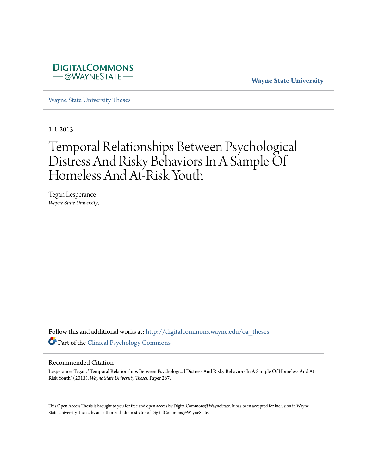

**Wayne State University**

[Wayne State University Theses](http://digitalcommons.wayne.edu/oa_theses?utm_source=digitalcommons.wayne.edu%2Foa_theses%2F267&utm_medium=PDF&utm_campaign=PDFCoverPages)

1-1-2013

# Temporal Relationships Between Psychological Distress And Risky Behaviors In A Sample Of Homeless And At-Risk Youth

Tegan Lesperance *Wayne State University*,

Follow this and additional works at: [http://digitalcommons.wayne.edu/oa\\_theses](http://digitalcommons.wayne.edu/oa_theses?utm_source=digitalcommons.wayne.edu%2Foa_theses%2F267&utm_medium=PDF&utm_campaign=PDFCoverPages) Part of the [Clinical Psychology Commons](http://network.bepress.com/hgg/discipline/406?utm_source=digitalcommons.wayne.edu%2Foa_theses%2F267&utm_medium=PDF&utm_campaign=PDFCoverPages)

## Recommended Citation

Lesperance, Tegan, "Temporal Relationships Between Psychological Distress And Risky Behaviors In A Sample Of Homeless And At-Risk Youth" (2013). *Wayne State University Theses.* Paper 267.

This Open Access Thesis is brought to you for free and open access by DigitalCommons@WayneState. It has been accepted for inclusion in Wayne State University Theses by an authorized administrator of DigitalCommons@WayneState.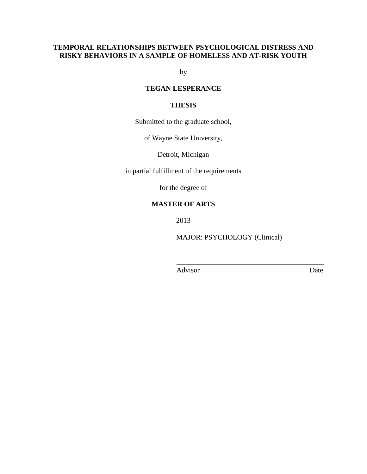# **TEMPORAL RELATIONSHIPS BETWEEN PSYCHOLOGICAL DISTRESS AND RISKY BEHAVIORS IN A SAMPLE OF HOMELESS AND AT-RISK YOUTH**

by

# **TEGAN LESPERANCE**

# **THESIS**

Submitted to the graduate school,

of Wayne State University,

Detroit, Michigan

in partial fulfillment of the requirements

for the degree of

# **MASTER OF ARTS**

2013

MAJOR: PSYCHOLOGY (Clinical)

Advisor Date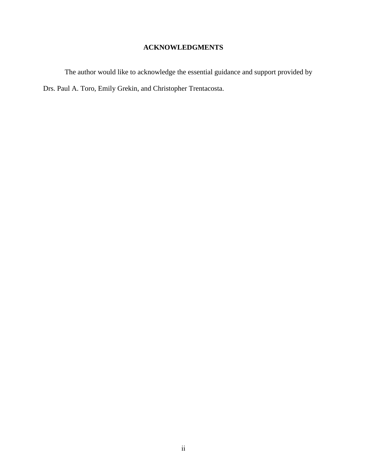# **ACKNOWLEDGMENTS**

The author would like to acknowledge the essential guidance and support provided by Drs. Paul A. Toro, Emily Grekin, and Christopher Trentacosta.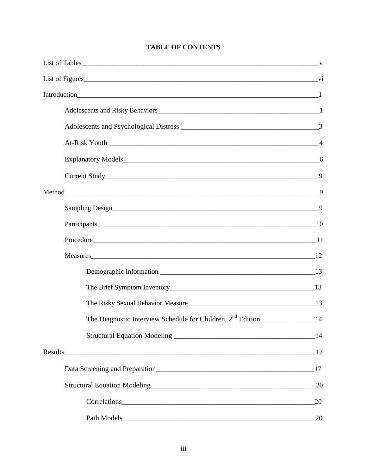# **TABLE OF CONTENTS**

|             | 9  |
|-------------|----|
|             |    |
|             |    |
|             |    |
| Measures 12 |    |
|             |    |
|             |    |
|             |    |
|             |    |
|             |    |
|             |    |
|             |    |
|             | 20 |
|             | 20 |
|             | 20 |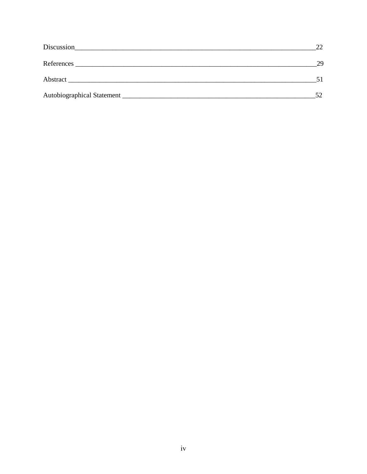|            | 22  |
|------------|-----|
| References | 29  |
|            |     |
|            | 52. |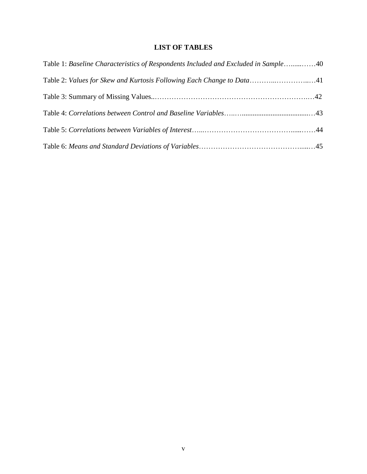# **LIST OF TABLES**

| Table 1: Baseline Characteristics of Respondents Included and Excluded in Sample40 |  |
|------------------------------------------------------------------------------------|--|
|                                                                                    |  |
|                                                                                    |  |
|                                                                                    |  |
|                                                                                    |  |
|                                                                                    |  |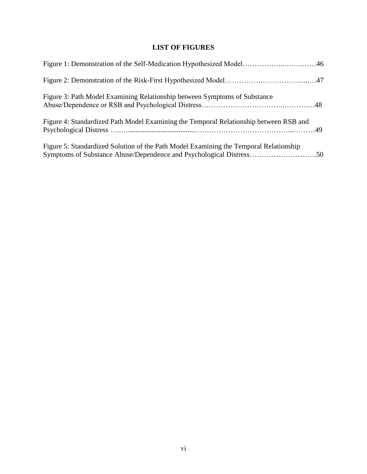# **LIST OF FIGURES**

| Figure 3: Path Model Examining Relationship between Symptoms of Substance             |  |
|---------------------------------------------------------------------------------------|--|
| Figure 4: Standardized Path Model Examining the Temporal Relationship between RSB and |  |
| Figure 5: Standardized Solution of the Path Model Examining the Temporal Relationship |  |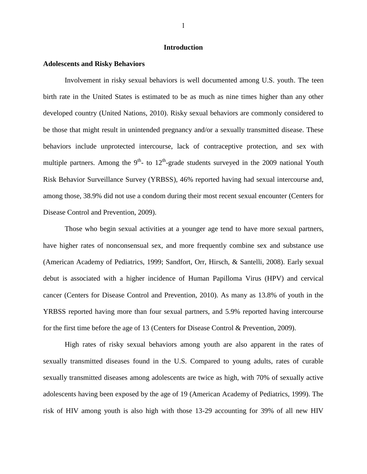## **Introduction**

#### **Adolescents and Risky Behaviors**

Involvement in risky sexual behaviors is well documented among U.S. youth. The teen birth rate in the United States is estimated to be as much as nine times higher than any other developed country (United Nations, 2010). Risky sexual behaviors are commonly considered to be those that might result in unintended pregnancy and/or a sexually transmitted disease. These behaviors include unprotected intercourse, lack of contraceptive protection, and sex with multiple partners. Among the  $9<sup>th</sup>$ - to  $12<sup>th</sup>$ -grade students surveyed in the 2009 national Youth Risk Behavior Surveillance Survey (YRBSS), 46% reported having had sexual intercourse and, among those, 38.9% did not use a condom during their most recent sexual encounter (Centers for Disease Control and Prevention, 2009).

Those who begin sexual activities at a younger age tend to have more sexual partners, have higher rates of nonconsensual sex, and more frequently combine sex and substance use (American Academy of Pediatrics, 1999; Sandfort, Orr, Hirsch, & Santelli, 2008). Early sexual debut is associated with a higher incidence of Human Papilloma Virus (HPV) and cervical cancer (Centers for Disease Control and Prevention, 2010). As many as 13.8% of youth in the YRBSS reported having more than four sexual partners, and 5.9% reported having intercourse for the first time before the age of 13 (Centers for Disease Control & Prevention, 2009).

High rates of risky sexual behaviors among youth are also apparent in the rates of sexually transmitted diseases found in the U.S. Compared to young adults, rates of curable sexually transmitted diseases among adolescents are twice as high, with 70% of sexually active adolescents having been exposed by the age of 19 (American Academy of Pediatrics, 1999). The risk of HIV among youth is also high with those 13-29 accounting for 39% of all new HIV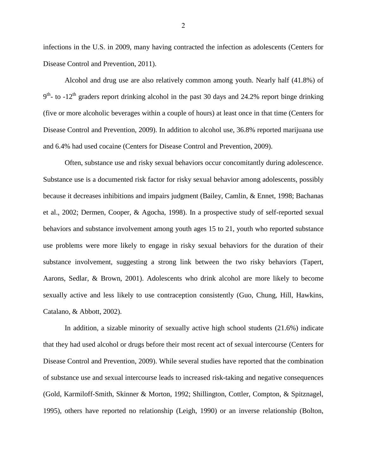infections in the U.S. in 2009, many having contracted the infection as adolescents (Centers for Disease Control and Prevention, 2011).

Alcohol and drug use are also relatively common among youth. Nearly half (41.8%) of  $9<sup>th</sup>$ - to -12<sup>th</sup> graders report drinking alcohol in the past 30 days and 24.2% report binge drinking (five or more alcoholic beverages within a couple of hours) at least once in that time (Centers for Disease Control and Prevention, 2009). In addition to alcohol use, 36.8% reported marijuana use and 6.4% had used cocaine (Centers for Disease Control and Prevention, 2009).

Often, substance use and risky sexual behaviors occur concomitantly during adolescence. Substance use is a documented risk factor for risky sexual behavior among adolescents, possibly because it decreases inhibitions and impairs judgment (Bailey, Camlin, & Ennet, 1998; Bachanas et al., 2002; Dermen, Cooper, & Agocha, 1998). In a prospective study of self-reported sexual behaviors and substance involvement among youth ages 15 to 21, youth who reported substance use problems were more likely to engage in risky sexual behaviors for the duration of their substance involvement, suggesting a strong link between the two risky behaviors (Tapert, Aarons, Sedlar, & Brown, 2001). Adolescents who drink alcohol are more likely to become sexually active and less likely to use contraception consistently (Guo, Chung, Hill, Hawkins, Catalano, & Abbott, 2002).

In addition, a sizable minority of sexually active high school students (21.6%) indicate that they had used alcohol or drugs before their most recent act of sexual intercourse (Centers for Disease Control and Prevention, 2009). While several studies have reported that the combination of substance use and sexual intercourse leads to increased risk-taking and negative consequences (Gold, Karmiloff-Smith, Skinner & Morton, 1992; Shillington, Cottler, Compton, & Spitznagel, 1995), others have reported no relationship (Leigh, 1990) or an inverse relationship (Bolton,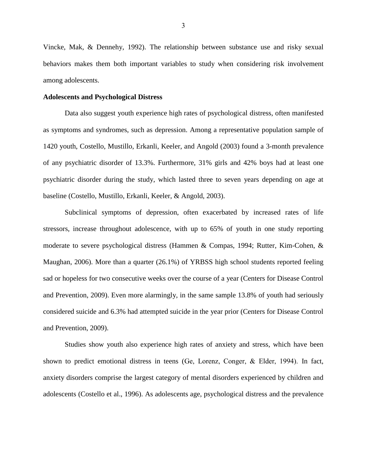Vincke, Mak, & Dennehy, 1992). The relationship between substance use and risky sexual behaviors makes them both important variables to study when considering risk involvement among adolescents.

### **Adolescents and Psychological Distress**

Data also suggest youth experience high rates of psychological distress, often manifested as symptoms and syndromes, such as depression. Among a representative population sample of 1420 youth, Costello, Mustillo, Erkanli, Keeler, and Angold (2003) found a 3-month prevalence of any psychiatric disorder of 13.3%. Furthermore, 31% girls and 42% boys had at least one psychiatric disorder during the study, which lasted three to seven years depending on age at baseline (Costello, Mustillo, Erkanli, Keeler, & Angold, 2003).

Subclinical symptoms of depression, often exacerbated by increased rates of life stressors, increase throughout adolescence, with up to 65% of youth in one study reporting moderate to severe psychological distress (Hammen & Compas, 1994; Rutter, Kim-Cohen, & Maughan, 2006). More than a quarter (26.1%) of YRBSS high school students reported feeling sad or hopeless for two consecutive weeks over the course of a year (Centers for Disease Control and Prevention, 2009). Even more alarmingly, in the same sample 13.8% of youth had seriously considered suicide and 6.3% had attempted suicide in the year prior (Centers for Disease Control and Prevention, 2009).

Studies show youth also experience high rates of anxiety and stress, which have been shown to predict emotional distress in teens (Ge, Lorenz, Conger, & Elder, 1994). In fact, anxiety disorders comprise the largest category of mental disorders experienced by children and adolescents (Costello et al., 1996). As adolescents age, psychological distress and the prevalence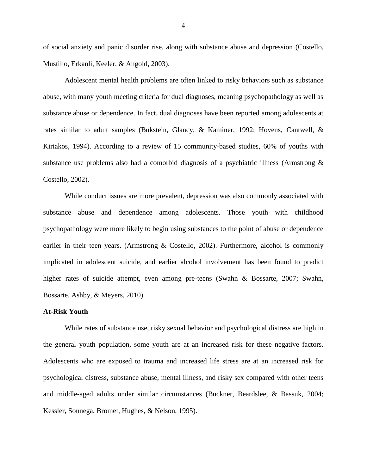of social anxiety and panic disorder rise, along with substance abuse and depression (Costello, Mustillo, Erkanli, Keeler, & Angold, 2003).

Adolescent mental health problems are often linked to risky behaviors such as substance abuse, with many youth meeting criteria for dual diagnoses, meaning psychopathology as well as substance abuse or dependence. In fact, dual diagnoses have been reported among adolescents at rates similar to adult samples (Bukstein, Glancy, & Kaminer, 1992; Hovens, Cantwell, & Kiriakos, 1994). According to a review of 15 community-based studies, 60% of youths with substance use problems also had a comorbid diagnosis of a psychiatric illness (Armstrong & Costello, 2002).

While conduct issues are more prevalent, depression was also commonly associated with substance abuse and dependence among adolescents. Those youth with childhood psychopathology were more likely to begin using substances to the point of abuse or dependence earlier in their teen years. (Armstrong & Costello, 2002). Furthermore, alcohol is commonly implicated in adolescent suicide, and earlier alcohol involvement has been found to predict higher rates of suicide attempt, even among pre-teens (Swahn & Bossarte, 2007; Swahn, Bossarte, Ashby, & Meyers, 2010).

# **At-Risk Youth**

While rates of substance use, risky sexual behavior and psychological distress are high in the general youth population, some youth are at an increased risk for these negative factors. Adolescents who are exposed to trauma and increased life stress are at an increased risk for psychological distress, substance abuse, mental illness, and risky sex compared with other teens and middle-aged adults under similar circumstances (Buckner, Beardslee, & Bassuk, 2004; Kessler, Sonnega, Bromet, Hughes, & Nelson, 1995).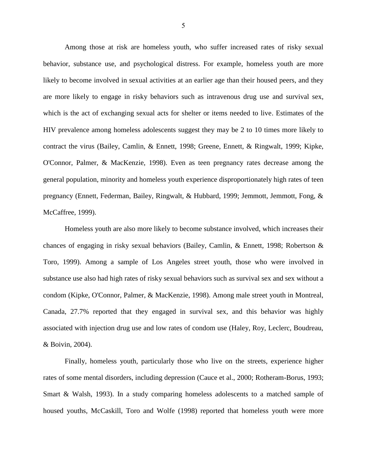Among those at risk are homeless youth, who suffer increased rates of risky sexual behavior, substance use, and psychological distress. For example, homeless youth are more likely to become involved in sexual activities at an earlier age than their housed peers, and they are more likely to engage in risky behaviors such as intravenous drug use and survival sex, which is the act of exchanging sexual acts for shelter or items needed to live. Estimates of the HIV prevalence among homeless adolescents suggest they may be 2 to 10 times more likely to contract the virus (Bailey, Camlin, & Ennett, 1998; Greene, Ennett, & Ringwalt, 1999; Kipke, O'Connor, Palmer, & MacKenzie, 1998). Even as teen pregnancy rates decrease among the general population, minority and homeless youth experience disproportionately high rates of teen pregnancy (Ennett, Federman, Bailey, Ringwalt, & Hubbard, 1999; Jemmott, Jemmott, Fong, & McCaffree, 1999).

Homeless youth are also more likely to become substance involved, which increases their chances of engaging in risky sexual behaviors (Bailey, Camlin, & Ennett, 1998; Robertson & Toro, 1999). Among a sample of Los Angeles street youth, those who were involved in substance use also had high rates of risky sexual behaviors such as survival sex and sex without a condom (Kipke, O'Connor, Palmer, & MacKenzie, 1998). Among male street youth in Montreal, Canada, 27.7% reported that they engaged in survival sex, and this behavior was highly associated with injection drug use and low rates of condom use (Haley, Roy, Leclerc, Boudreau, & Boivin, 2004).

Finally, homeless youth, particularly those who live on the streets, experience higher rates of some mental disorders, including depression (Cauce et al., 2000; Rotheram-Borus, 1993; Smart & Walsh, 1993). In a study comparing homeless adolescents to a matched sample of housed youths, McCaskill, Toro and Wolfe (1998) reported that homeless youth were more

5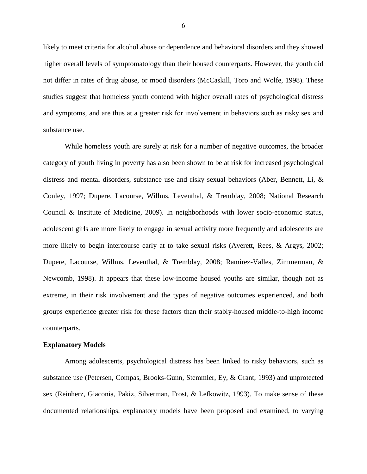likely to meet criteria for alcohol abuse or dependence and behavioral disorders and they showed higher overall levels of symptomatology than their housed counterparts. However, the youth did not differ in rates of drug abuse, or mood disorders (McCaskill, Toro and Wolfe, 1998). These studies suggest that homeless youth contend with higher overall rates of psychological distress and symptoms, and are thus at a greater risk for involvement in behaviors such as risky sex and substance use.

While homeless youth are surely at risk for a number of negative outcomes, the broader category of youth living in poverty has also been shown to be at risk for increased psychological distress and mental disorders, substance use and risky sexual behaviors (Aber, Bennett, Li, & Conley, 1997; Dupere, Lacourse, Willms, Leventhal, & Tremblay, 2008; National Research Council & Institute of Medicine, 2009). In neighborhoods with lower socio-economic status, adolescent girls are more likely to engage in sexual activity more frequently and adolescents are more likely to begin intercourse early at to take sexual risks (Averett, Rees, & Argys, 2002; Dupere, Lacourse, Willms, Leventhal, & Tremblay, 2008; Ramirez-Valles, Zimmerman, & Newcomb, 1998). It appears that these low-income housed youths are similar, though not as extreme, in their risk involvement and the types of negative outcomes experienced, and both groups experience greater risk for these factors than their stably-housed middle-to-high income counterparts.

#### **Explanatory Models**

Among adolescents, psychological distress has been linked to risky behaviors, such as substance use (Petersen, Compas, Brooks-Gunn, Stemmler, Ey, & Grant, 1993) and unprotected sex (Reinherz, Giaconia, Pakiz, Silverman, Frost, & Lefkowitz, 1993). To make sense of these documented relationships, explanatory models have been proposed and examined, to varying

6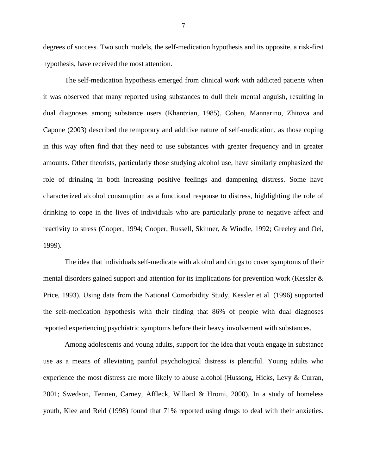degrees of success. Two such models, the self-medication hypothesis and its opposite, a risk-first hypothesis, have received the most attention.

The self-medication hypothesis emerged from clinical work with addicted patients when it was observed that many reported using substances to dull their mental anguish, resulting in dual diagnoses among substance users (Khantzian, 1985). Cohen, Mannarino, Zhitova and Capone (2003) described the temporary and additive nature of self-medication, as those coping in this way often find that they need to use substances with greater frequency and in greater amounts. Other theorists, particularly those studying alcohol use, have similarly emphasized the role of drinking in both increasing positive feelings and dampening distress. Some have characterized alcohol consumption as a functional response to distress, highlighting the role of drinking to cope in the lives of individuals who are particularly prone to negative affect and reactivity to stress (Cooper, 1994; Cooper, Russell, Skinner, & Windle, 1992; Greeley and Oei, 1999).

The idea that individuals self-medicate with alcohol and drugs to cover symptoms of their mental disorders gained support and attention for its implications for prevention work (Kessler & Price, 1993). Using data from the National Comorbidity Study, Kessler et al. (1996) supported the self-medication hypothesis with their finding that 86% of people with dual diagnoses reported experiencing psychiatric symptoms before their heavy involvement with substances.

Among adolescents and young adults, support for the idea that youth engage in substance use as a means of alleviating painful psychological distress is plentiful. Young adults who experience the most distress are more likely to abuse alcohol (Hussong, Hicks, Levy & Curran, 2001; Swedson, Tennen, Carney, Affleck, Willard & Hromi, 2000). In a study of homeless youth, Klee and Reid (1998) found that 71% reported using drugs to deal with their anxieties.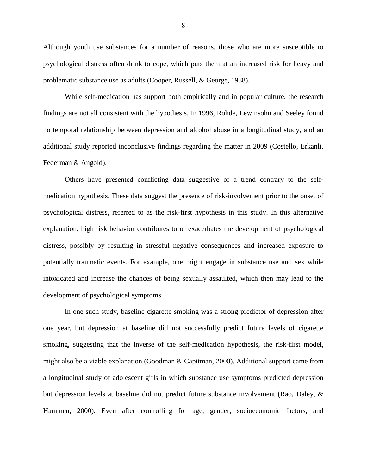Although youth use substances for a number of reasons, those who are more susceptible to psychological distress often drink to cope, which puts them at an increased risk for heavy and problematic substance use as adults (Cooper, Russell, & George, 1988).

While self-medication has support both empirically and in popular culture, the research findings are not all consistent with the hypothesis. In 1996, Rohde, Lewinsohn and Seeley found no temporal relationship between depression and alcohol abuse in a longitudinal study, and an additional study reported inconclusive findings regarding the matter in 2009 (Costello, Erkanli, Federman & Angold).

Others have presented conflicting data suggestive of a trend contrary to the selfmedication hypothesis. These data suggest the presence of risk-involvement prior to the onset of psychological distress, referred to as the risk-first hypothesis in this study. In this alternative explanation, high risk behavior contributes to or exacerbates the development of psychological distress, possibly by resulting in stressful negative consequences and increased exposure to potentially traumatic events. For example, one might engage in substance use and sex while intoxicated and increase the chances of being sexually assaulted, which then may lead to the development of psychological symptoms.

In one such study, baseline cigarette smoking was a strong predictor of depression after one year, but depression at baseline did not successfully predict future levels of cigarette smoking, suggesting that the inverse of the self-medication hypothesis, the risk-first model, might also be a viable explanation (Goodman & Capitman, 2000). Additional support came from a longitudinal study of adolescent girls in which substance use symptoms predicted depression but depression levels at baseline did not predict future substance involvement (Rao, Daley, & Hammen, 2000). Even after controlling for age, gender, socioeconomic factors, and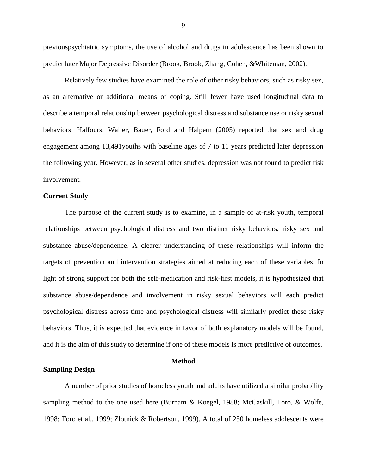previouspsychiatric symptoms, the use of alcohol and drugs in adolescence has been shown to predict later Major Depressive Disorder (Brook, Brook, Zhang, Cohen, &Whiteman, 2002).

Relatively few studies have examined the role of other risky behaviors, such as risky sex, as an alternative or additional means of coping. Still fewer have used longitudinal data to describe a temporal relationship between psychological distress and substance use or risky sexual behaviors. Halfours, Waller, Bauer, Ford and Halpern (2005) reported that sex and drug engagement among 13,491youths with baseline ages of 7 to 11 years predicted later depression the following year. However, as in several other studies, depression was not found to predict risk involvement.

#### **Current Study**

The purpose of the current study is to examine, in a sample of at-risk youth, temporal relationships between psychological distress and two distinct risky behaviors; risky sex and substance abuse/dependence. A clearer understanding of these relationships will inform the targets of prevention and intervention strategies aimed at reducing each of these variables. In light of strong support for both the self-medication and risk-first models, it is hypothesized that substance abuse/dependence and involvement in risky sexual behaviors will each predict psychological distress across time and psychological distress will similarly predict these risky behaviors. Thus, it is expected that evidence in favor of both explanatory models will be found, and it is the aim of this study to determine if one of these models is more predictive of outcomes.

### **Method**

# **Sampling Design**

A number of prior studies of homeless youth and adults have utilized a similar probability sampling method to the one used here (Burnam & Koegel, 1988; McCaskill, Toro, & Wolfe, 1998; Toro et al., 1999; Zlotnick & Robertson, 1999). A total of 250 homeless adolescents were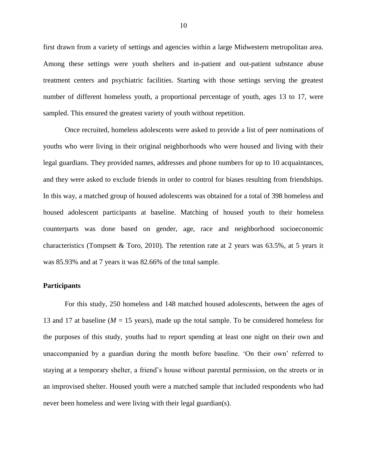first drawn from a variety of settings and agencies within a large Midwestern metropolitan area. Among these settings were youth shelters and in-patient and out-patient substance abuse treatment centers and psychiatric facilities. Starting with those settings serving the greatest number of different homeless youth, a proportional percentage of youth, ages 13 to 17, were sampled. This ensured the greatest variety of youth without repetition.

Once recruited, homeless adolescents were asked to provide a list of peer nominations of youths who were living in their original neighborhoods who were housed and living with their legal guardians. They provided names, addresses and phone numbers for up to 10 acquaintances, and they were asked to exclude friends in order to control for biases resulting from friendships. In this way, a matched group of housed adolescents was obtained for a total of 398 homeless and housed adolescent participants at baseline. Matching of housed youth to their homeless counterparts was done based on gender, age, race and neighborhood socioeconomic characteristics (Tompsett & Toro, 2010). The retention rate at 2 years was 63.5%, at 5 years it was 85.93% and at 7 years it was 82.66% of the total sample.

## **Participants**

For this study, 250 homeless and 148 matched housed adolescents, between the ages of 13 and 17 at baseline ( $M = 15$  years), made up the total sample. To be considered homeless for the purposes of this study, youths had to report spending at least one night on their own and unaccompanied by a guardian during the month before baseline. 'On their own' referred to staying at a temporary shelter, a friend's house without parental permission, on the streets or in an improvised shelter. Housed youth were a matched sample that included respondents who had never been homeless and were living with their legal guardian(s).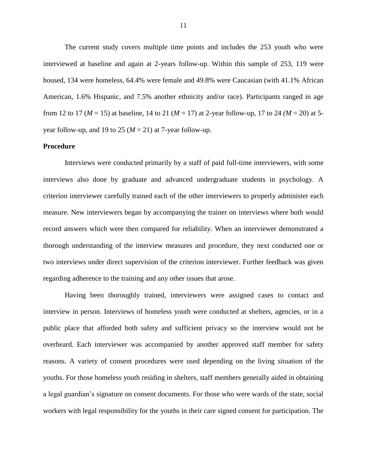The current study covers multiple time points and includes the 253 youth who were interviewed at baseline and again at 2-years follow-up. Within this sample of 253, 119 were housed, 134 were homeless, 64.4% were female and 49.8% were Caucasian (with 41.1% African American, 1.6% Hispanic, and 7.5% another ethnicity and/or race). Participants ranged in age from 12 to 17 (*M* = 15) at baseline, 14 to 21 (*M* = 17) at 2-year follow-up, 17 to 24 *(M* = 20) at 5 year follow-up, and 19 to 25  $(M = 21)$  at 7-year follow-up.

# **Procedure**

Interviews were conducted primarily by a staff of paid full-time interviewers, with some interviews also done by graduate and advanced undergraduate students in psychology. A criterion interviewer carefully trained each of the other interviewers to properly administer each measure. New interviewers began by accompanying the trainer on interviews where both would record answers which were then compared for reliability. When an interviewer demonstrated a thorough understanding of the interview measures and procedure, they next conducted one or two interviews under direct supervision of the criterion interviewer. Further feedback was given regarding adherence to the training and any other issues that arose.

Having been thoroughly trained, interviewers were assigned cases to contact and interview in person. Interviews of homeless youth were conducted at shelters, agencies, or in a public place that afforded both safety and sufficient privacy so the interview would not be overheard. Each interviewer was accompanied by another approved staff member for safety reasons. A variety of consent procedures were used depending on the living situation of the youths. For those homeless youth residing in shelters, staff members generally aided in obtaining a legal guardian's signature on consent documents. For those who were wards of the state, social workers with legal responsibility for the youths in their care signed consent for participation. The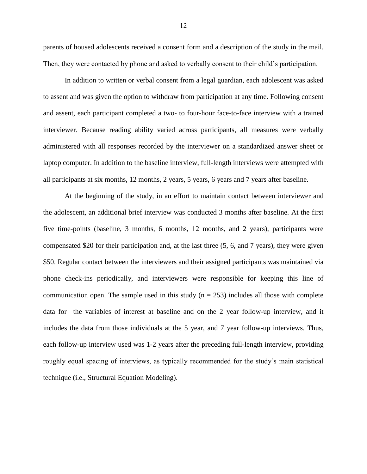parents of housed adolescents received a consent form and a description of the study in the mail. Then, they were contacted by phone and asked to verbally consent to their child's participation.

In addition to written or verbal consent from a legal guardian, each adolescent was asked to assent and was given the option to withdraw from participation at any time. Following consent and assent, each participant completed a two- to four-hour face-to-face interview with a trained interviewer. Because reading ability varied across participants, all measures were verbally administered with all responses recorded by the interviewer on a standardized answer sheet or laptop computer. In addition to the baseline interview, full-length interviews were attempted with all participants at six months, 12 months, 2 years, 5 years, 6 years and 7 years after baseline.

At the beginning of the study, in an effort to maintain contact between interviewer and the adolescent, an additional brief interview was conducted 3 months after baseline. At the first five time-points (baseline, 3 months, 6 months, 12 months, and 2 years), participants were compensated \$20 for their participation and, at the last three (5, 6, and 7 years), they were given \$50. Regular contact between the interviewers and their assigned participants was maintained via phone check-ins periodically, and interviewers were responsible for keeping this line of communication open. The sample used in this study ( $n = 253$ ) includes all those with complete data for the variables of interest at baseline and on the 2 year follow-up interview, and it includes the data from those individuals at the 5 year, and 7 year follow-up interviews. Thus, each follow-up interview used was 1-2 years after the preceding full-length interview, providing roughly equal spacing of interviews, as typically recommended for the study's main statistical technique (i.e., Structural Equation Modeling).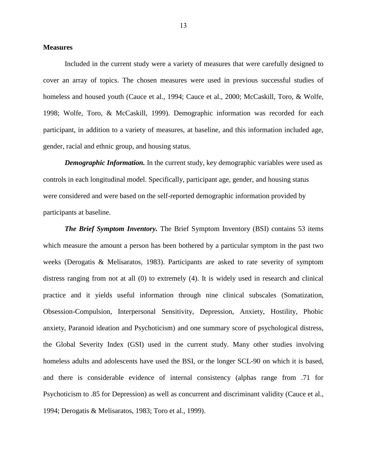## **Measures**

Included in the current study were a variety of measures that were carefully designed to cover an array of topics. The chosen measures were used in previous successful studies of homeless and housed youth (Cauce et al., 1994; Cauce et al., 2000; McCaskill, Toro, & Wolfe, 1998; Wolfe, Toro, & McCaskill, 1999). Demographic information was recorded for each participant, in addition to a variety of measures, at baseline, and this information included age, gender, racial and ethnic group, and housing status.

*Demographic Information.* In the current study, key demographic variables were used as controls in each longitudinal model. Specifically, participant age, gender, and housing status were considered and were based on the self-reported demographic information provided by participants at baseline.

*The Brief Symptom Inventory.* The Brief Symptom Inventory (BSI) contains 53 items which measure the amount a person has been bothered by a particular symptom in the past two weeks (Derogatis & Melisaratos, 1983). Participants are asked to rate severity of symptom distress ranging from not at all (0) to extremely (4). It is widely used in research and clinical practice and it yields useful information through nine clinical subscales (Somatization, Obsession-Compulsion, Interpersonal Sensitivity, Depression, Anxiety, Hostility, Phobic anxiety, Paranoid ideation and Psychoticism) and one summary score of psychological distress, the Global Severity Index (GSI) used in the current study. Many other studies involving homeless adults and adolescents have used the BSI, or the longer SCL-90 on which it is based, and there is considerable evidence of internal consistency (alphas range from .71 for Psychoticism to .85 for Depression) as well as concurrent and discriminant validity (Cauce et al., 1994; Derogatis & Melisaratos, 1983; Toro et al., 1999).

13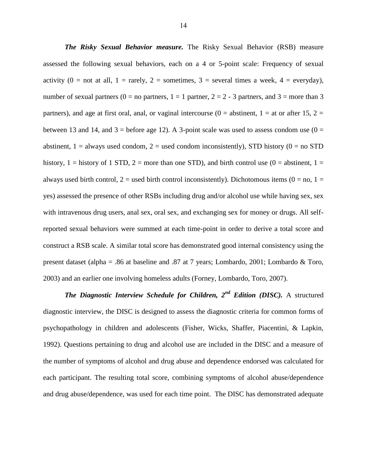*The Risky Sexual Behavior measure.* The Risky Sexual Behavior (RSB) measure assessed the following sexual behaviors, each on a 4 or 5-point scale: Frequency of sexual activity (0 = not at all, 1 = rarely, 2 = sometimes, 3 = several times a week, 4 = everyday), number of sexual partners ( $0 =$  no partners,  $1 = 1$  partners,  $2 = 2 - 3$  partners, and  $3 =$  more than 3 partners), and age at first oral, anal, or vaginal intercourse ( $0 =$  abstinent,  $1 =$  at or after 15,  $2 =$ between 13 and 14, and  $3 =$  before age 12). A 3-point scale was used to assess condom use (0 = abstinent,  $1 =$  always used condom,  $2 =$  used condom inconsistently), STD history ( $0 =$  no STD history, 1 = history of 1 STD, 2 = more than one STD), and birth control use  $(0 =$  abstinent, 1 = always used birth control,  $2 =$  used birth control inconsistently). Dichotomous items  $(0 =$  no,  $1 =$ yes) assessed the presence of other RSBs including drug and/or alcohol use while having sex, sex with intravenous drug users, anal sex, oral sex, and exchanging sex for money or drugs. All selfreported sexual behaviors were summed at each time-point in order to derive a total score and construct a RSB scale. A similar total score has demonstrated good internal consistency using the present dataset (alpha = .86 at baseline and .87 at 7 years; Lombardo, 2001; Lombardo & Toro, 2003) and an earlier one involving homeless adults (Forney, Lombardo, Toro, 2007).

*The Diagnostic Interview Schedule for Children, 2nd Edition (DISC).* A structured diagnostic interview, the DISC is designed to assess the diagnostic criteria for common forms of psychopathology in children and adolescents (Fisher, Wicks, Shaffer, Piacentini, & Lapkin, 1992). Questions pertaining to drug and alcohol use are included in the DISC and a measure of the number of symptoms of alcohol and drug abuse and dependence endorsed was calculated for each participant. The resulting total score, combining symptoms of alcohol abuse/dependence and drug abuse/dependence, was used for each time point. The DISC has demonstrated adequate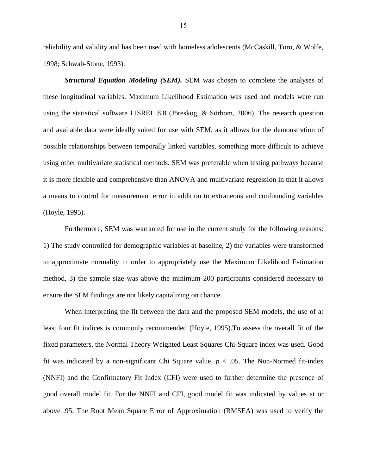reliability and validity and has been used with homeless adolescents (McCaskill, Toro, & Wolfe, 1998; Schwab-Stone, 1993).

*Structural Equation Modeling (SEM).* SEM was chosen to complete the analyses of these longitudinal variables. Maximum Likelihood Estimation was used and models were run using the statistical software LISREL 8.8 (Jöreskog, & Sörbom, 2006). The research question and available data were ideally suited for use with SEM, as it allows for the demonstration of possible relationships between temporally linked variables, something more difficult to achieve using other multivariate statistical methods. SEM was preferable when testing pathways because it is more flexible and comprehensive than ANOVA and multivariate regression in that it allows a means to control for measurement error in addition to extraneous and confounding variables (Hoyle, 1995).

Furthermore, SEM was warranted for use in the current study for the following reasons: 1) The study controlled for demographic variables at baseline, 2) the variables were transformed to approximate normality in order to appropriately use the Maximum Likelihood Estimation method, 3) the sample size was above the minimum 200 participants considered necessary to ensure the SEM findings are not likely capitalizing on chance.

When interpreting the fit between the data and the proposed SEM models, the use of at least four fit indices is commonly recommended (Hoyle, 1995).To assess the overall fit of the fixed parameters, the Normal Theory Weighted Least Squares Chi-Square index was used. Good fit was indicated by a non-significant Chi Square value,  $p < .05$ . The Non-Normed fit-index (NNFI) and the Confirmatory Fit Index (CFI) were used to further determine the presence of good overall model fit. For the NNFI and CFI, good model fit was indicated by values at or above .95. The Root Mean Square Error of Approximation (RMSEA) was used to verify the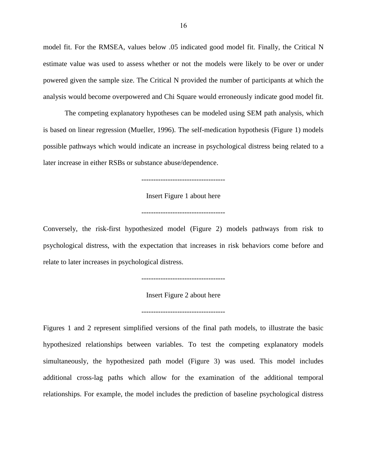model fit. For the RMSEA, values below .05 indicated good model fit. Finally, the Critical N estimate value was used to assess whether or not the models were likely to be over or under powered given the sample size. The Critical N provided the number of participants at which the analysis would become overpowered and Chi Square would erroneously indicate good model fit.

The competing explanatory hypotheses can be modeled using SEM path analysis, which is based on linear regression (Mueller, 1996). The self-medication hypothesis (Figure 1) models possible pathways which would indicate an increase in psychological distress being related to a later increase in either RSBs or substance abuse/dependence.

-----------------------------------

Insert Figure 1 about here

-----------------------------------

Conversely, the risk-first hypothesized model (Figure 2) models pathways from risk to psychological distress, with the expectation that increases in risk behaviors come before and relate to later increases in psychological distress.

-----------------------------------

Insert Figure 2 about here

-----------------------------------

Figures 1 and 2 represent simplified versions of the final path models, to illustrate the basic hypothesized relationships between variables. To test the competing explanatory models simultaneously, the hypothesized path model (Figure 3) was used. This model includes additional cross-lag paths which allow for the examination of the additional temporal relationships. For example, the model includes the prediction of baseline psychological distress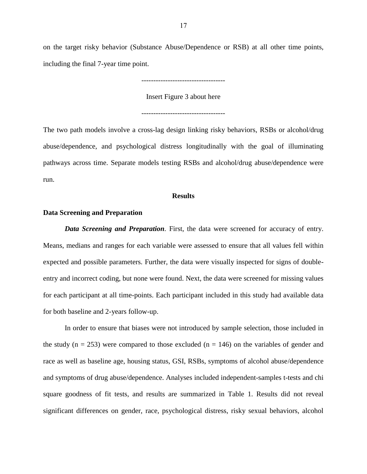on the target risky behavior (Substance Abuse/Dependence or RSB) at all other time points, including the final 7-year time point.

-----------------------------------

Insert Figure 3 about here

-----------------------------------

The two path models involve a cross-lag design linking risky behaviors, RSBs or alcohol/drug abuse/dependence, and psychological distress longitudinally with the goal of illuminating pathways across time. Separate models testing RSBs and alcohol/drug abuse/dependence were run.

# **Results**

## **Data Screening and Preparation**

*Data Screening and Preparation.* First, the data were screened for accuracy of entry. Means, medians and ranges for each variable were assessed to ensure that all values fell within expected and possible parameters. Further, the data were visually inspected for signs of doubleentry and incorrect coding, but none were found. Next, the data were screened for missing values for each participant at all time-points. Each participant included in this study had available data for both baseline and 2-years follow-up.

In order to ensure that biases were not introduced by sample selection, those included in the study ( $n = 253$ ) were compared to those excluded ( $n = 146$ ) on the variables of gender and race as well as baseline age, housing status, GSI, RSBs, symptoms of alcohol abuse/dependence and symptoms of drug abuse/dependence. Analyses included independent-samples t-tests and chi square goodness of fit tests, and results are summarized in Table 1. Results did not reveal significant differences on gender, race, psychological distress, risky sexual behaviors, alcohol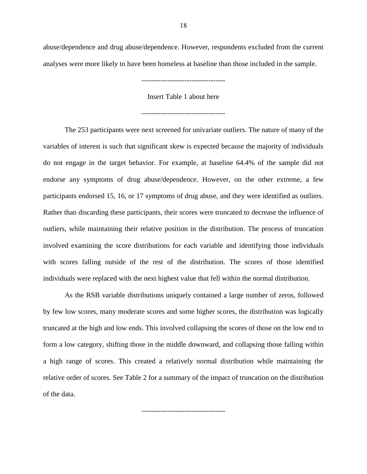abuse/dependence and drug abuse/dependence. However, respondents excluded from the current analyses were more likely to have been homeless at baseline than those included in the sample.

-----------------------------------

Insert Table 1 about here

-----------------------------------

The 253 participants were next screened for univariate outliers. The nature of many of the variables of interest is such that significant skew is expected because the majority of individuals do not engage in the target behavior. For example, at baseline 64.4% of the sample did not endorse any symptoms of drug abuse/dependence. However, on the other extreme, a few participants endorsed 15, 16, or 17 symptoms of drug abuse, and they were identified as outliers. Rather than discarding these participants, their scores were truncated to decrease the influence of outliers, while maintaining their relative position in the distribution. The process of truncation involved examining the score distributions for each variable and identifying those individuals with scores falling outside of the rest of the distribution. The scores of those identified individuals were replaced with the next highest value that fell within the normal distribution.

As the RSB variable distributions uniquely contained a large number of zeros, followed by few low scores, many moderate scores and some higher scores, the distribution was logically truncated at the high and low ends. This involved collapsing the scores of those on the low end to form a low category, shifting those in the middle downward, and collapsing those falling within a high range of scores. This created a relatively normal distribution while maintaining the relative order of scores. See Table 2 for a summary of the impact of truncation on the distribution of the data.

-----------------------------------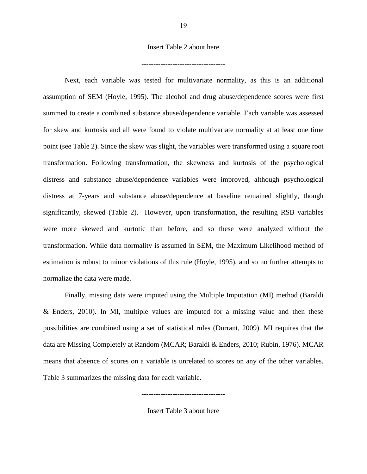# Insert Table 2 about here

-----------------------------------

Next, each variable was tested for multivariate normality, as this is an additional assumption of SEM (Hoyle, 1995). The alcohol and drug abuse/dependence scores were first summed to create a combined substance abuse/dependence variable. Each variable was assessed for skew and kurtosis and all were found to violate multivariate normality at at least one time point (see Table 2). Since the skew was slight, the variables were transformed using a square root transformation. Following transformation, the skewness and kurtosis of the psychological distress and substance abuse/dependence variables were improved, although psychological distress at 7-years and substance abuse/dependence at baseline remained slightly, though significantly, skewed (Table 2). However, upon transformation, the resulting RSB variables were more skewed and kurtotic than before, and so these were analyzed without the transformation. While data normality is assumed in SEM, the Maximum Likelihood method of estimation is robust to minor violations of this rule (Hoyle, 1995), and so no further attempts to normalize the data were made.

Finally, missing data were imputed using the Multiple Imputation (MI) method (Baraldi & Enders, 2010). In MI, multiple values are imputed for a missing value and then these possibilities are combined using a set of statistical rules (Durrant, 2009). MI requires that the data are Missing Completely at Random (MCAR; Baraldi & Enders, 2010; Rubin, 1976). MCAR means that absence of scores on a variable is unrelated to scores on any of the other variables. Table 3 summarizes the missing data for each variable.

Insert Table 3 about here

-----------------------------------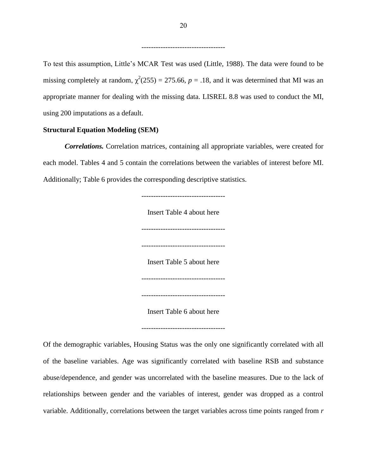To test this assumption, Little's MCAR Test was used (Little, 1988). The data were found to be missing completely at random,  $\chi^2(255) = 275.66$ ,  $p = .18$ , and it was determined that MI was an appropriate manner for dealing with the missing data. LISREL 8.8 was used to conduct the MI, using 200 imputations as a default.

# **Structural Equation Modeling (SEM)**

*Correlations.* Correlation matrices, containing all appropriate variables, were created for each model. Tables 4 and 5 contain the correlations between the variables of interest before MI. Additionally; Table 6 provides the corresponding descriptive statistics.

> ----------------------------------- Insert Table 4 about here ----------------------------------- ----------------------------------- Insert Table 5 about here ----------------------------------- ----------------------------------- Insert Table 6 about here -----------------------------------

Of the demographic variables, Housing Status was the only one significantly correlated with all of the baseline variables. Age was significantly correlated with baseline RSB and substance abuse/dependence, and gender was uncorrelated with the baseline measures. Due to the lack of relationships between gender and the variables of interest, gender was dropped as a control variable. Additionally, correlations between the target variables across time points ranged from *r* 

-----------------------------------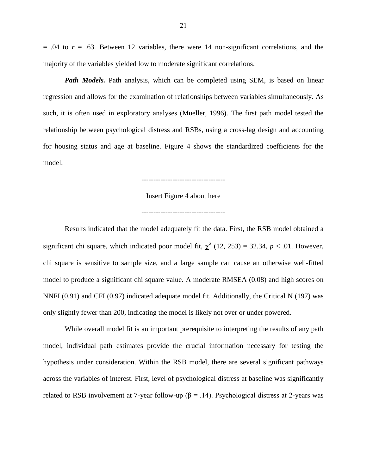$= .04$  to  $r = .63$ . Between 12 variables, there were 14 non-significant correlations, and the majority of the variables yielded low to moderate significant correlations.

*Path Models.* Path analysis, which can be completed using SEM, is based on linear regression and allows for the examination of relationships between variables simultaneously. As such, it is often used in exploratory analyses (Mueller, 1996). The first path model tested the relationship between psychological distress and RSBs, using a cross-lag design and accounting for housing status and age at baseline. Figure 4 shows the standardized coefficients for the model.

-----------------------------------

Insert Figure 4 about here

-----------------------------------

Results indicated that the model adequately fit the data. First, the RSB model obtained a significant chi square, which indicated poor model fit,  $\chi^2$  (12, 253) = 32.34, *p* < .01. However, chi square is sensitive to sample size, and a large sample can cause an otherwise well-fitted model to produce a significant chi square value. A moderate RMSEA (0.08) and high scores on NNFI (0.91) and CFI (0.97) indicated adequate model fit. Additionally, the Critical N (197) was only slightly fewer than 200, indicating the model is likely not over or under powered.

While overall model fit is an important prerequisite to interpreting the results of any path model, individual path estimates provide the crucial information necessary for testing the hypothesis under consideration. Within the RSB model, there are several significant pathways across the variables of interest. First, level of psychological distress at baseline was significantly related to RSB involvement at 7-year follow-up ( $\beta$  = .14). Psychological distress at 2-years was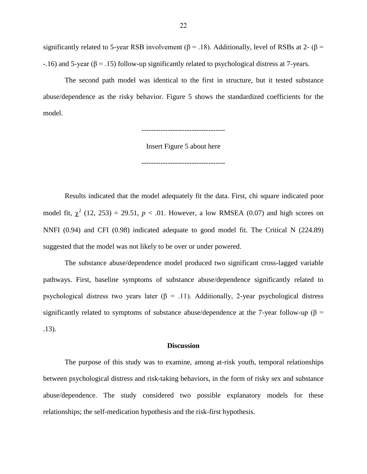significantly related to 5-year RSB involvement ( $\beta$  = .18). Additionally, level of RSBs at 2- ( $\beta$  =  $-16$ ) and 5-year ( $\beta$  = .15) follow-up significantly related to psychological distress at 7-years.

The second path model was identical to the first in structure, but it tested substance abuse/dependence as the risky behavior. Figure 5 shows the standardized coefficients for the model.

-----------------------------------

Insert Figure 5 about here

-----------------------------------

Results indicated that the model adequately fit the data. First, chi square indicated poor model fit,  $\chi^2$  (12, 253) = 29.51,  $p < .01$ . However, a low RMSEA (0.07) and high scores on NNFI (0.94) and CFI (0.98) indicated adequate to good model fit. The Critical N (224.89) suggested that the model was not likely to be over or under powered.

The substance abuse/dependence model produced two significant cross-lagged variable pathways. First, baseline symptoms of substance abuse/dependence significantly related to psychological distress two years later ( $\beta$  = .11). Additionally, 2-year psychological distress significantly related to symptoms of substance abuse/dependence at the 7-year follow-up ( $\beta$  = .13).

## **Discussion**

The purpose of this study was to examine, among at-risk youth, temporal relationships between psychological distress and risk-taking behaviors, in the form of risky sex and substance abuse/dependence. The study considered two possible explanatory models for these relationships; the self-medication hypothesis and the risk-first hypothesis.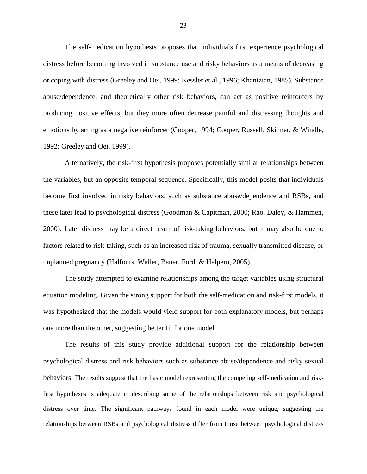The self-medication hypothesis proposes that individuals first experience psychological distress before becoming involved in substance use and risky behaviors as a means of decreasing or coping with distress (Greeley and Oei, 1999; Kessler et al., 1996; Khantzian, 1985). Substance abuse/dependence, and theoretically other risk behaviors, can act as positive reinforcers by producing positive effects, but they more often decrease painful and distressing thoughts and emotions by acting as a negative reinforcer (Cooper, 1994; Cooper, Russell, Skinner, & Windle, 1992; Greeley and Oei, 1999).

Alternatively, the risk-first hypothesis proposes potentially similar relationships between the variables, but an opposite temporal sequence. Specifically, this model posits that individuals become first involved in risky behaviors, such as substance abuse/dependence and RSBs, and these later lead to psychological distress (Goodman & Capitman, 2000; Rao, Daley, & Hammen, 2000). Later distress may be a direct result of risk-taking behaviors, but it may also be due to factors related to risk-taking, such as an increased risk of trauma, sexually transmitted disease, or unplanned pregnancy (Halfours, Waller, Bauer, Ford, & Halpern, 2005).

The study attempted to examine relationships among the target variables using structural equation modeling. Given the strong support for both the self-medication and risk-first models, it was hypothesized that the models would yield support for both explanatory models, but perhaps one more than the other, suggesting better fit for one model.

The results of this study provide additional support for the relationship between psychological distress and risk behaviors such as substance abuse/dependence and risky sexual behaviors. The results suggest that the basic model representing the competing self-medication and riskfirst hypotheses is adequate in describing some of the relationships between risk and psychological distress over time. The significant pathways found in each model were unique, suggesting the relationships between RSBs and psychological distress differ from those between psychological distress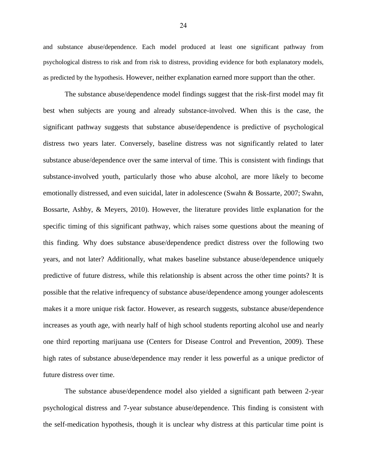and substance abuse/dependence. Each model produced at least one significant pathway from psychological distress to risk and from risk to distress, providing evidence for both explanatory models, as predicted by the hypothesis. However, neither explanation earned more support than the other.

The substance abuse/dependence model findings suggest that the risk-first model may fit best when subjects are young and already substance-involved. When this is the case, the significant pathway suggests that substance abuse/dependence is predictive of psychological distress two years later. Conversely, baseline distress was not significantly related to later substance abuse/dependence over the same interval of time. This is consistent with findings that substance-involved youth, particularly those who abuse alcohol, are more likely to become emotionally distressed, and even suicidal, later in adolescence (Swahn & Bossarte, 2007; Swahn, Bossarte, Ashby, & Meyers, 2010). However, the literature provides little explanation for the specific timing of this significant pathway, which raises some questions about the meaning of this finding. Why does substance abuse/dependence predict distress over the following two years, and not later? Additionally, what makes baseline substance abuse/dependence uniquely predictive of future distress, while this relationship is absent across the other time points? It is possible that the relative infrequency of substance abuse/dependence among younger adolescents makes it a more unique risk factor. However, as research suggests, substance abuse/dependence increases as youth age, with nearly half of high school students reporting alcohol use and nearly one third reporting marijuana use (Centers for Disease Control and Prevention, 2009). These high rates of substance abuse/dependence may render it less powerful as a unique predictor of future distress over time.

The substance abuse/dependence model also yielded a significant path between 2-year psychological distress and 7-year substance abuse/dependence. This finding is consistent with the self-medication hypothesis, though it is unclear why distress at this particular time point is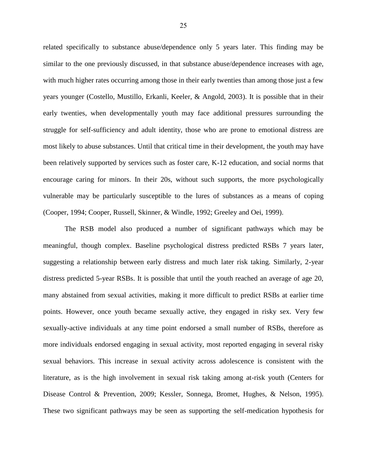related specifically to substance abuse/dependence only 5 years later. This finding may be similar to the one previously discussed, in that substance abuse/dependence increases with age, with much higher rates occurring among those in their early twenties than among those just a few years younger (Costello, Mustillo, Erkanli, Keeler, & Angold, 2003). It is possible that in their early twenties, when developmentally youth may face additional pressures surrounding the struggle for self-sufficiency and adult identity, those who are prone to emotional distress are most likely to abuse substances. Until that critical time in their development, the youth may have been relatively supported by services such as foster care, K-12 education, and social norms that encourage caring for minors. In their 20s, without such supports, the more psychologically vulnerable may be particularly susceptible to the lures of substances as a means of coping (Cooper, 1994; Cooper, Russell, Skinner, & Windle, 1992; Greeley and Oei, 1999).

The RSB model also produced a number of significant pathways which may be meaningful, though complex. Baseline psychological distress predicted RSBs 7 years later, suggesting a relationship between early distress and much later risk taking. Similarly, 2-year distress predicted 5-year RSBs. It is possible that until the youth reached an average of age 20, many abstained from sexual activities, making it more difficult to predict RSBs at earlier time points. However, once youth became sexually active, they engaged in risky sex. Very few sexually-active individuals at any time point endorsed a small number of RSBs, therefore as more individuals endorsed engaging in sexual activity, most reported engaging in several risky sexual behaviors. This increase in sexual activity across adolescence is consistent with the literature, as is the high involvement in sexual risk taking among at-risk youth (Centers for Disease Control & Prevention, 2009; Kessler, Sonnega, Bromet, Hughes, & Nelson, 1995). These two significant pathways may be seen as supporting the self-medication hypothesis for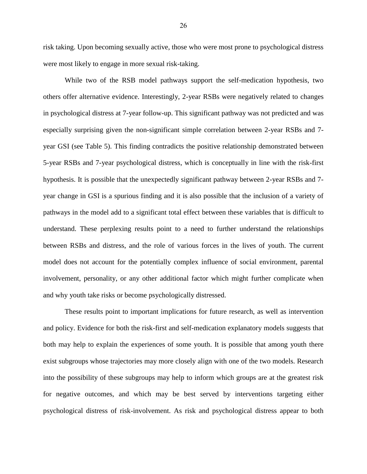risk taking. Upon becoming sexually active, those who were most prone to psychological distress were most likely to engage in more sexual risk-taking.

While two of the RSB model pathways support the self-medication hypothesis, two others offer alternative evidence. Interestingly, 2-year RSBs were negatively related to changes in psychological distress at 7-year follow-up. This significant pathway was not predicted and was especially surprising given the non-significant simple correlation between 2-year RSBs and 7 year GSI (see Table 5). This finding contradicts the positive relationship demonstrated between 5-year RSBs and 7-year psychological distress, which is conceptually in line with the risk-first hypothesis. It is possible that the unexpectedly significant pathway between 2-year RSBs and 7 year change in GSI is a spurious finding and it is also possible that the inclusion of a variety of pathways in the model add to a significant total effect between these variables that is difficult to understand. These perplexing results point to a need to further understand the relationships between RSBs and distress, and the role of various forces in the lives of youth. The current model does not account for the potentially complex influence of social environment, parental involvement, personality, or any other additional factor which might further complicate when and why youth take risks or become psychologically distressed.

These results point to important implications for future research, as well as intervention and policy. Evidence for both the risk-first and self-medication explanatory models suggests that both may help to explain the experiences of some youth. It is possible that among youth there exist subgroups whose trajectories may more closely align with one of the two models. Research into the possibility of these subgroups may help to inform which groups are at the greatest risk for negative outcomes, and which may be best served by interventions targeting either psychological distress of risk-involvement. As risk and psychological distress appear to both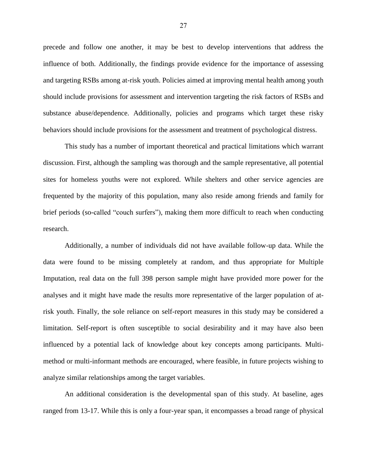precede and follow one another, it may be best to develop interventions that address the influence of both. Additionally, the findings provide evidence for the importance of assessing and targeting RSBs among at-risk youth. Policies aimed at improving mental health among youth should include provisions for assessment and intervention targeting the risk factors of RSBs and substance abuse/dependence. Additionally, policies and programs which target these risky behaviors should include provisions for the assessment and treatment of psychological distress.

This study has a number of important theoretical and practical limitations which warrant discussion. First, although the sampling was thorough and the sample representative, all potential sites for homeless youths were not explored. While shelters and other service agencies are frequented by the majority of this population, many also reside among friends and family for brief periods (so-called "couch surfers"), making them more difficult to reach when conducting research.

Additionally, a number of individuals did not have available follow-up data. While the data were found to be missing completely at random, and thus appropriate for Multiple Imputation, real data on the full 398 person sample might have provided more power for the analyses and it might have made the results more representative of the larger population of atrisk youth. Finally, the sole reliance on self-report measures in this study may be considered a limitation. Self-report is often susceptible to social desirability and it may have also been influenced by a potential lack of knowledge about key concepts among participants. Multimethod or multi-informant methods are encouraged, where feasible, in future projects wishing to analyze similar relationships among the target variables.

An additional consideration is the developmental span of this study. At baseline, ages ranged from 13-17. While this is only a four-year span, it encompasses a broad range of physical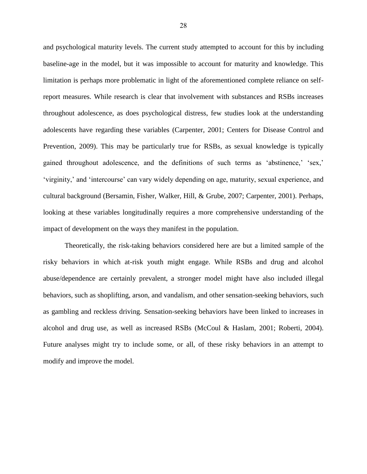and psychological maturity levels. The current study attempted to account for this by including baseline-age in the model, but it was impossible to account for maturity and knowledge. This limitation is perhaps more problematic in light of the aforementioned complete reliance on selfreport measures. While research is clear that involvement with substances and RSBs increases throughout adolescence, as does psychological distress, few studies look at the understanding adolescents have regarding these variables (Carpenter, 2001; Centers for Disease Control and Prevention, 2009). This may be particularly true for RSBs, as sexual knowledge is typically gained throughout adolescence, and the definitions of such terms as 'abstinence,' 'sex,' 'virginity,' and 'intercourse' can vary widely depending on age, maturity, sexual experience, and cultural background (Bersamin, Fisher, Walker, Hill, & Grube, 2007; Carpenter, 2001). Perhaps, looking at these variables longitudinally requires a more comprehensive understanding of the impact of development on the ways they manifest in the population.

Theoretically, the risk-taking behaviors considered here are but a limited sample of the risky behaviors in which at-risk youth might engage. While RSBs and drug and alcohol abuse/dependence are certainly prevalent, a stronger model might have also included illegal behaviors, such as shoplifting, arson, and vandalism, and other sensation-seeking behaviors, such as gambling and reckless driving. Sensation-seeking behaviors have been linked to increases in alcohol and drug use, as well as increased RSBs (McCoul & Haslam, 2001; Roberti, 2004). Future analyses might try to include some, or all, of these risky behaviors in an attempt to modify and improve the model.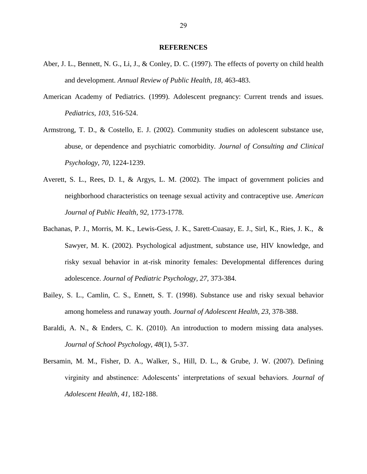#### **REFERENCES**

- Aber, J. L., Bennett, N. G., Li, J., & Conley, D. C. (1997). The effects of poverty on child health and development. *Annual Review of Public Health, 18,* 463-483.
- American Academy of Pediatrics. (1999). Adolescent pregnancy: Current trends and issues. *Pediatrics, 103,* 516-524.
- Armstrong, T. D., & Costello, E. J. (2002). Community studies on adolescent substance use, abuse, or dependence and psychiatric comorbidity. *Journal of Consulting and Clinical Psychology, 70,* 1224-1239.
- Averett, S. L., Rees, D. I., & Argys, L. M. (2002). The impact of government policies and neighborhood characteristics on teenage sexual activity and contraceptive use. *American Journal of Public Health, 92,* 1773-1778.
- Bachanas, P. J., Morris, M. K., Lewis-Gess, J. K., Sarett-Cuasay, E. J., Sirl, K., Ries, J. K., & Sawyer, M. K. (2002). Psychological adjustment, substance use, HIV knowledge, and risky sexual behavior in at-risk minority females: Developmental differences during adolescence. *Journal of Pediatric Psychology, 27,* 373-384.
- Bailey, S. L., Camlin, C. S., Ennett, S. T. (1998). Substance use and risky sexual behavior among homeless and runaway youth. *Journal of Adolescent Health, 23,* 378-388.
- Baraldi, A. N., & Enders, C. K. (2010). An introduction to modern missing data analyses. *Journal of School Psychology*, *48*(1), 5-37.
- Bersamin, M. M., Fisher, D. A., Walker, S., Hill, D. L., & Grube, J. W. (2007). Defining virginity and abstinence: Adolescents' interpretations of sexual behaviors. *Journal of Adolescent Health, 41,* 182-188.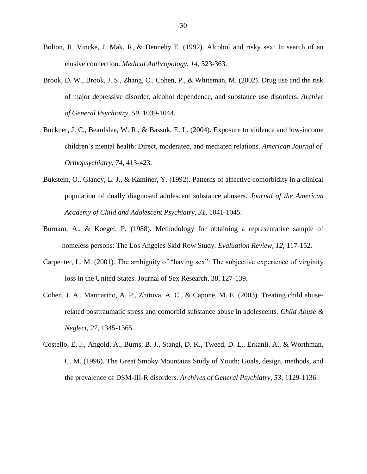- Bolton, R, Vincke, J, Mak, R, & Dennehy E. (1992). Alcohol and risky sex: In search of an elusive connection. *Medical Anthropology, 14,* 323-363.
- Brook, D. W., Brook, J. S., Zhang, C., Cohen, P., & Whiteman, M. (2002). Drug use and the risk of major depressive disorder, alcohol dependence, and substance use disorders. *Archive of General Psychiatry, 59,* 1039-1044.
- Buckner, J. C., Beardslee, W. R., & Bassuk, E. L. (2004). Exposure to violence and low-income children's mental health: Direct, moderated, and mediated relations. *American Journal of Orthopsychiatry, 74,* 413-423.
- Bukstein, O., Glancy, L. J., & Kaminer, Y. (1992). Patterns of affective comorbidity in a clinical population of dually diagnosed adolescent substance abusers. *Journal of the American Academy of Child and Adolescent Psychiatry, 31,* 1041-1045.
- Burnam, A., & Koegel, P. (1988). Methodology for obtaining a representative sample of homeless persons: The Los Angeles Skid Row Study*. Evaluation Review, 12,* 117-152.
- Carpenter, L. M. (2001). The ambiguity of "having sex": The subjective experience of virginity loss in the United States. Journal of Sex Research, 38, 127-139.
- Cohen, J. A., Mannarino, A. P., Zhitova, A. C., & Capone, M. E. (2003). Treating child abuserelated posttraumatic stress and comorbid substance abuse in adolescents. *Child Abuse & Neglect*, *27*, 1345-1365.
- Costello, E. J., Angold, A., Burns, B. J., Stangl, D. K., Tweed, D. L., Erkanli, A., & Worthman, C. M. (1996). The Great Smoky Mountains Study of Youth; Goals, design, methods, and the prevalence of DSM-III-R disorders. *Archives of General Psychiatry, 53,* 1129-1136.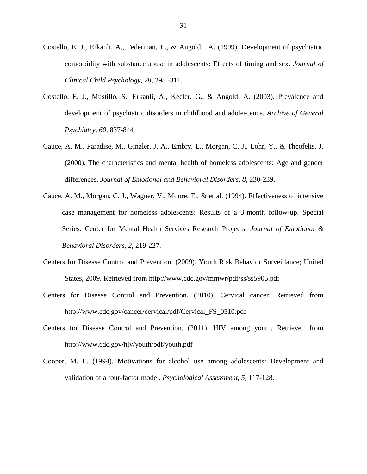- Costello, E. J., Erkanli, A., Federman, E., & Angold, A. (1999). Development of psychiatric comorbidity with substance abuse in adolescents: Effects of timing and sex. *Journal of Clinical Child Psychology, 28*, 298 -311.
- Costello, E. J., Mustillo, S., Erkanli, A., Keeler, G., & Angold, A. (2003). Prevalence and development of psychiatric disorders in childhood and adolescence. *Archive of General Psychiatry, 60,* 837-844
- Cauce, A. M., Paradise, M., Ginzler, J. A., Embry, L., Morgan, C. J., Lohr, Y., & Theofelis, J. (2000). The characteristics and mental health of homeless adolescents: Age and gender differences. *Journal of Emotional and Behavioral Disorders, 8*, 230-239.
- Cauce, A. M., Morgan, C. J., Wagner, V., Moore, E., & et al. (1994). Effectiveness of intensive case management for homeless adolescents: Results of a 3-month follow-up. Special Series: Center for Mental Health Services Research Projects*. Journal of Emotional & Behavioral Disorders, 2*, 219-227.
- Centers for Disease Control and Prevention. (2009). Youth Risk Behavior Surveillance; United States, 2009. Retrieved from http://www.cdc.gov/mmwr/pdf/ss/ss5905.pdf
- Centers for Disease Control and Prevention. (2010). Cervical cancer. Retrieved from http://www.cdc.gov/cancer/cervical/pdf/Cervical\_FS\_0510.pdf
- Centers for Disease Control and Prevention. (2011). HIV among youth. Retrieved from http://www.cdc.gov/hiv/youth/pdf/youth.pdf
- Cooper, M. L. (1994). Motivations for alcohol use among adolescents: Development and validation of a four-factor model. *Psychological Assessment, 5,* 117-128.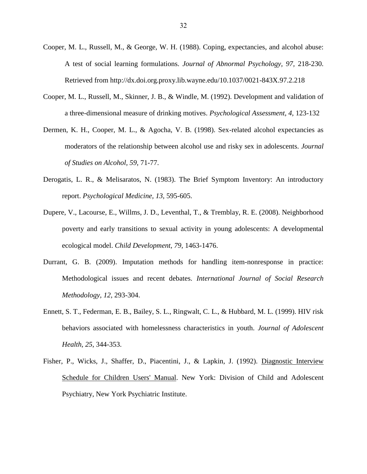- Cooper, M. L., Russell, M., & George, W. H. (1988). Coping, expectancies, and alcohol abuse: A test of social learning formulations. *Journal of Abnormal Psychology, 97,* 218-230. Retrieved from http://dx.doi.org.proxy.lib.wayne.edu/10.1037/0021-843X.97.2.218
- Cooper, M. L., Russell, M., Skinner, J. B., & Windle, M. (1992). Development and validation of a three-dimensional measure of drinking motives. *Psychological Assessment, 4,* 123-132
- Dermen, K. H., Cooper, M. L., & Agocha, V. B. (1998). Sex-related alcohol expectancies as moderators of the relationship between alcohol use and risky sex in adolescents. *Journal of Studies on Alcohol, 59,* 71-77.
- Derogatis, L. R., & Melisaratos, N. (1983). The Brief Symptom Inventory: An introductory report. *Psychological Medicine, 13,* 595-605.
- Dupere, V., Lacourse, E., Willms, J. D., Leventhal, T., & Tremblay, R. E. (2008). Neighborhood poverty and early transitions to sexual activity in young adolescents: A developmental ecological model. *Child Development, 79,* 1463-1476.
- Durrant, G. B. (2009). Imputation methods for handling item-nonresponse in practice: Methodological issues and recent debates. *International Journal of Social Research Methodology, 12,* 293-304.
- Ennett, S. T., Federman, E. B., Bailey, S. L., Ringwalt, C. L., & Hubbard, M. L. (1999). HIV risk behaviors associated with homelessness characteristics in youth. *Journal of Adolescent Health, 25*, 344-353.
- Fisher, P., Wicks, J., Shaffer, D., Piacentini, J., & Lapkin, J. (1992). Diagnostic Interview Schedule for Children Users' Manual. New York: Division of Child and Adolescent Psychiatry, New York Psychiatric Institute.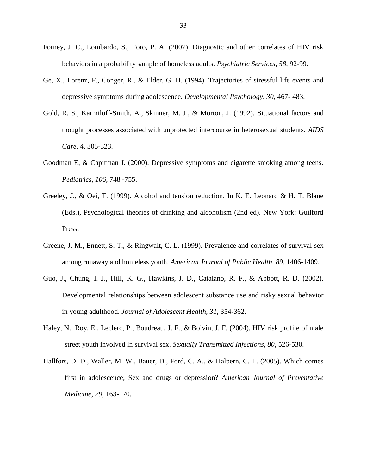- Forney, J. C., Lombardo, S., Toro, P. A. (2007). Diagnostic and other correlates of HIV risk behaviors in a probability sample of homeless adults. *Psychiatric Services, 58,* 92-99.
- Ge, X., Lorenz, F., Conger, R., & Elder, G. H. (1994). Trajectories of stressful life events and depressive symptoms during adolescence. *Developmental Psychology, 30,* 467- 483.
- Gold, R. S., Karmiloff-Smith, A., Skinner, M. J., & Morton, J. (1992). Situational factors and thought processes associated with unprotected intercourse in heterosexual students. *AIDS Care, 4,* 305-323.
- Goodman E, & Capitman J. (2000). Depressive symptoms and cigarette smoking among teens. *Pediatrics, 106,* 748 -755.
- Greeley, J., & Oei, T. (1999). Alcohol and tension reduction. In K. E. Leonard & H. T. Blane (Eds.), Psychological theories of drinking and alcoholism (2nd ed). New York: Guilford Press.
- Greene, J. M., Ennett, S. T., & Ringwalt, C. L. (1999). Prevalence and correlates of survival sex among runaway and homeless youth. *American Journal of Public Health, 89*, 1406-1409.
- Guo, J., Chung, I. J., Hill, K. G., Hawkins, J. D., Catalano, R. F., & Abbott, R. D. (2002). Developmental relationships between adolescent substance use and risky sexual behavior in young adulthood. *Journal of Adolescent Health, 31,* 354-362.
- Haley, N., Roy, E., Leclerc, P., Boudreau, J. F., & Boivin, J. F. (2004). HIV risk profile of male street youth involved in survival sex. *Sexually Transmitted Infections, 80,* 526-530.
- Hallfors, D. D., Waller, M. W., Bauer, D., Ford, C. A., & Halpern, C. T. (2005). Which comes first in adolescence; Sex and drugs or depression? *American Journal of Preventative Medicine, 29,* 163-170.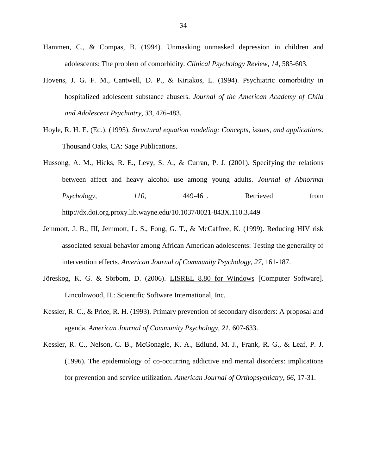- Hammen, C., & Compas, B. (1994). Unmasking unmasked depression in children and adolescents: The problem of comorbidity. *Clinical Psychology Review, 14,* 585-603.
- Hovens, J. G. F. M., Cantwell, D. P., & Kiriakos, L. (1994). Psychiatric comorbidity in hospitalized adolescent substance abusers. *Journal of the American Academy of Child and Adolescent Psychiatry, 33*, 476-483.
- Hoyle, R. H. E. (Ed.). (1995). *Structural equation modeling: Concepts, issues, and applications.* Thousand Oaks, CA: Sage Publications.
- Hussong, A. M., Hicks, R. E., Levy, S. A., & Curran, P. J. (2001). Specifying the relations between affect and heavy alcohol use among young adults. *Journal of Abnormal Psychology, 110,* 449-461. Retrieved from http://dx.doi.org.proxy.lib.wayne.edu/10.1037/0021-843X.110.3.449
- Jemmott, J. B., III, Jemmott, L. S., Fong, G. T., & McCaffree, K. (1999). Reducing HIV risk associated sexual behavior among African American adolescents: Testing the generality of intervention effects. *American Journal of Community Psychology, 27*, 161-187.
- Jöreskog, K. G. & Sörbom, D. (2006). LISREL 8.80 for Windows [Computer Software]. Lincolnwood, IL: Scientific Software International, Inc.
- Kessler, R. C., & Price, R. H. (1993). Primary prevention of secondary disorders: A proposal and agenda. *American Journal of Community Psychology, 21,* 607-633.
- Kessler, R. C., Nelson, C. B., McGonagle, K. A., Edlund, M. J., Frank, R. G., & Leaf, P. J. (1996). The epidemiology of co-occurring addictive and mental disorders: implications for prevention and service utilization. *American Journal of Orthopsychiatry, 66,* 17-31.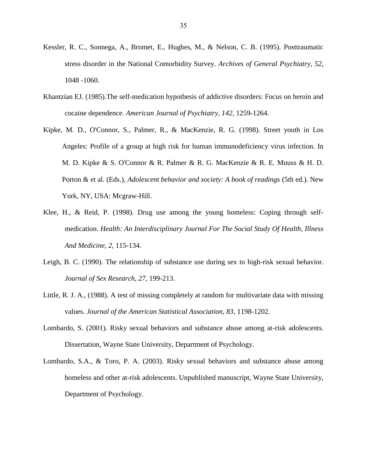- Kessler, R. C., Sonnega, A., Bromet, E., Hughes, M., & Nelson, C. B. (1995). Posttraumatic stress disorder in the National Comorbidity Survey. *Archives of General Psychiatry, 52*, 1048 -1060.
- Khantzian EJ. (1985).The self-medication hypothesis of addictive disorders: Focus on heroin and cocaine dependence. *American Journal of Psychiatry, 142*, 1259-1264.
- Kipke, M. D., O'Connor, S., Palmer, R., & MacKenzie, R. G. (1998). Street youth in Los Angeles: Profile of a group at high risk for human immunodeficiency virus infection. In M. D. Kipke & S. O'Connor & R. Palmer & R. G. MacKenzie & R. E. Muuss & H. D. Porton & et al. (Eds.), *Adolescent behavior and society: A book of readings* (5th ed.). New York, NY, USA: Mcgraw-Hill.
- Klee, H., & Reid, P. (1998). Drug use among the young homeless: Coping through selfmedication. *Health: An Interdisciplinary Journal For The Social Study Of Health, Illness And Medicine*, *2*, 115-134.
- Leigh, B. C. (1990). The relationship of substance use during sex to high-risk sexual behavior. *Journal of Sex Research, 27*, 199-213.
- Little, R. J. A., (1988). A test of missing completely at random for multivariate data with missing values. *Journal of the American Statistical Association, 83*, 1198-1202.
- Lombardo, S. (2001). Risky sexual behaviors and substance abuse among at-risk adolescents. Dissertation, Wayne State University, Department of Psychology.
- Lombardo, S.A., & Toro, P. A. (2003). Risky sexual behaviors and substance abuse among homeless and other at-risk adolescents. Unpublished manuscript, Wayne State University, Department of Psychology.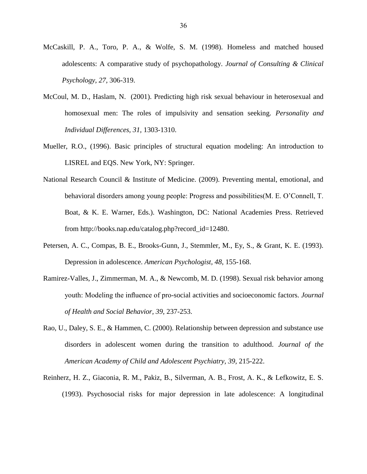- McCaskill, P. A., Toro, P. A., & Wolfe, S. M. (1998). Homeless and matched housed adolescents: A comparative study of psychopathology. *Journal of Consulting & Clinical Psychology, 27,* 306-319.
- McCoul, M. D., Haslam, N. (2001). Predicting high risk sexual behaviour in heterosexual and homosexual men: The roles of impulsivity and sensation seeking. *Personality and Individual Differences, 31,* 1303-1310.
- Mueller, R.O., (1996). Basic principles of structural equation modeling: An introduction to LISREL and EQS. New York, NY: Springer.
- National Research Council & Institute of Medicine. (2009). Preventing mental, emotional, and behavioral disorders among young people: Progress and possibilities(M. E. O'Connell, T. Boat, & K. E. Warner, Eds.). Washington, DC: National Academies Press. Retrieved from http://books.nap.edu/catalog.php?record\_id=12480.
- Petersen, A. C., Compas, B. E., Brooks-Gunn, J., Stemmler, M., Ey, S., & Grant, K. E. (1993). Depression in adolescence. *American Psychologist, 48*, 155-168.
- Ramirez-Valles, J., Zimmerman, M. A., & Newcomb, M. D. (1998). Sexual risk behavior among youth: Modeling the influence of pro-social activities and socioeconomic factors. *Journal of Health and Social Behavior, 39,* 237-253.
- Rao, U., Daley, S. E., & Hammen, C. (2000). Relationship between depression and substance use disorders in adolescent women during the transition to adulthood. *Journal of the American Academy of Child and Adolescent Psychiatry, 39,* 215-222.
- Reinherz, H. Z., Giaconia, R. M., Pakiz, B., Silverman, A. B., Frost, A. K., & Lefkowitz, E. S. (1993). Psychosocial risks for major depression in late adolescence: A longitudinal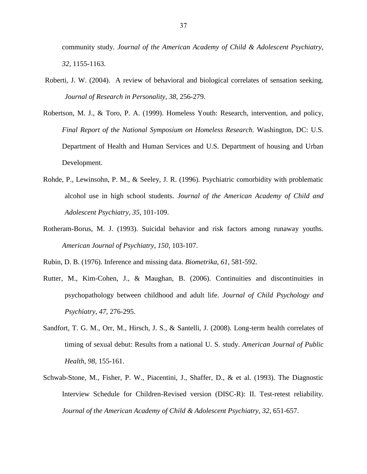community study. *Journal of the American Academy of Child & Adolescent Psychiatry, 32*, 1155-1163.

- Roberti, J. W. (2004). A review of behavioral and biological correlates of sensation seeking. *Journal of Research in Personality, 38,* 256-279.
- Robertson, M. J., & Toro, P. A. (1999). Homeless Youth: Research, intervention, and policy, *Final Report of the National Symposium on Homeless Research.* Washington, DC: U.S. Department of Health and Human Services and U.S. Department of housing and Urban Development.
- Rohde, P., Lewinsohn, P. M., & Seeley, J. R. (1996). Psychiatric comorbidity with problematic alcohol use in high school students. *Journal of the American Academy of Child and Adolescent Psychiatry, 35,* 101-109.
- Rotheram-Borus, M. J. (1993). Suicidal behavior and risk factors among runaway youths. *American Journal of Psychiatry, 150*, 103-107.
- Rubin, D. B. (1976). Inference and missing data. *Biometrika, 61*, 581-592.
- Rutter, M., Kim-Cohen, J., & Maughan, B. (2006). Continuities and discontinuities in psychopathology between childhood and adult life. *Journal of Child Psychology and Psychiatry, 47,* 276-295.
- Sandfort, T. G. M., Orr, M., Hirsch, J. S., & Santelli, J. (2008). Long-term health correlates of timing of sexual debut: Results from a national U. S. study. *American Journal of Public Health, 98,* 155-161.
- Schwab-Stone, M., Fisher, P. W., Piacentini, J., Shaffer, D., & et al. (1993). The Diagnostic Interview Schedule for Children-Revised version (DISC-R): II. Test-retest reliability. *Journal of the American Academy of Child & Adolescent Psychiatry, 32*, 651-657.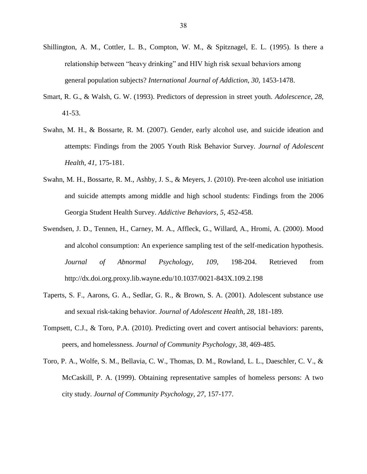- Shillington, A. M., Cottler, L. B., Compton, W. M., & Spitznagel, E. L. (1995). Is there a relationship between "heavy drinking" and HIV high risk sexual behaviors among general population subjects? *International Journal of Addiction, 30,* 1453-1478.
- Smart, R. G., & Walsh, G. W. (1993). Predictors of depression in street youth. *Adolescence, 28*, 41-53.
- Swahn, M. H., & Bossarte, R. M. (2007). Gender, early alcohol use, and suicide ideation and attempts: Findings from the 2005 Youth Risk Behavior Survey. *Journal of Adolescent Health, 41,* 175-181.
- Swahn, M. H., Bossarte, R. M., Ashby, J. S., & Meyers, J. (2010). Pre-teen alcohol use initiation and suicide attempts among middle and high school students: Findings from the 2006 Georgia Student Health Survey. *Addictive Behaviors, 5,* 452-458.
- Swendsen, J. D., Tennen, H., Carney, M. A., Affleck, G., Willard, A., Hromi, A. (2000). Mood and alcohol consumption: An experience sampling test of the self-medication hypothesis. *Journal of Abnormal Psychology, 109,* 198-204. Retrieved from http://dx.doi.org.proxy.lib.wayne.edu/10.1037/0021-843X.109.2.198
- Taperts, S. F., Aarons, G. A., Sedlar, G. R., & Brown, S. A. (2001). Adolescent substance use and sexual risk-taking behavior. *Journal of Adolescent Health, 28,* 181-189.
- Tompsett, C.J., & Toro, P.A. (2010). Predicting overt and covert antisocial behaviors: parents, peers, and homelessness. *Journal of Community Psychology, 38,* 469-485.
- Toro, P. A., Wolfe, S. M., Bellavia, C. W., Thomas, D. M., Rowland, L. L., Daeschler, C. V., & McCaskill, P. A. (1999). Obtaining representative samples of homeless persons: A two city study. *Journal of Community Psychology, 27*, 157-177.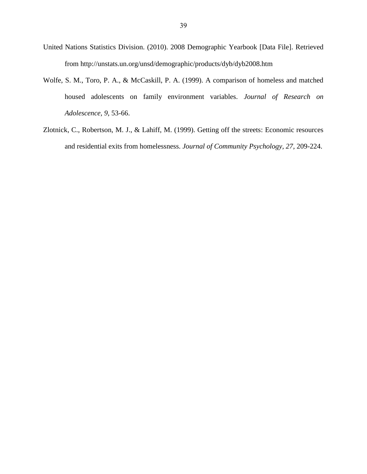- United Nations Statistics Division. (2010). 2008 Demographic Yearbook [Data File]. Retrieved from http://unstats.un.org/unsd/demographic/products/dyb/dyb2008.htm
- Wolfe, S. M., Toro, P. A., & McCaskill, P. A. (1999). A comparison of homeless and matched housed adolescents on family environment variables. *Journal of Research on Adolescence, 9*, 53-66.
- Zlotnick, C., Robertson, M. J., & Lahiff, M. (1999). Getting off the streets: Economic resources and residential exits from homelessness. *Journal of Community Psychology, 27,* 209-224.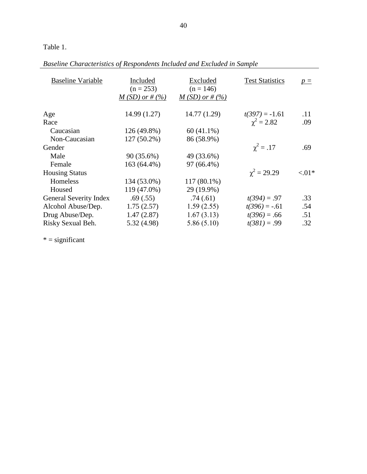# Table 1.

|  | Baseline Characteristics of Respondents Included and Excluded in Sample |  |
|--|-------------------------------------------------------------------------|--|
|--|-------------------------------------------------------------------------|--|

| <b>Baseline Variable</b>      | Included<br>$(n = 253)$<br>$M(SD)$ or # $(\%)$ | Excluded<br>$(n = 146)$<br>$M(SD)$ or # (%) | <b>Test Statistics</b> | $p =$    |
|-------------------------------|------------------------------------------------|---------------------------------------------|------------------------|----------|
| Age                           | 14.99 (1.27)                                   | 14.77 (1.29)                                | $t(397) = -1.61$       | .11      |
| Race                          |                                                |                                             | $\gamma^2 = 2.82$      | .09      |
| Caucasian                     | 126 (49.8%)                                    | 60 (41.1%)                                  |                        |          |
| Non-Caucasian                 | $127(50.2\%)$                                  | 86 (58.9%)                                  |                        |          |
| Gender                        |                                                |                                             | $\gamma^2 = .17$       | .69      |
| Male                          | 90 (35.6%)                                     | 49 (33.6%)                                  |                        |          |
| Female                        | 163 (64.4%)                                    | 97 (66.4%)                                  |                        |          |
| <b>Housing Status</b>         |                                                |                                             | $\chi^2 = 29.29$       | ${<}01*$ |
| Homeless                      | 134 (53.0%)                                    | 117 (80.1%)                                 |                        |          |
| Housed                        | 119 (47.0%)                                    | 29 (19.9%)                                  |                        |          |
| <b>General Severity Index</b> | .69(.55)                                       | .74(0.61)                                   | $t(394) = .97$         | .33      |
| Alcohol Abuse/Dep.            | 1.75(2.57)                                     | 1.59(2.55)                                  | $t(396) = -.61$        | .54      |
| Drug Abuse/Dep.               | 1.47(2.87)                                     | 1.67(3.13)                                  | $t(396) = .66$         | .51      |
| Risky Sexual Beh.             | 5.32(4.98)                                     | 5.86(5.10)                                  | $t(381) = .99$         | .32      |
|                               |                                                |                                             |                        |          |

 $* =$  significant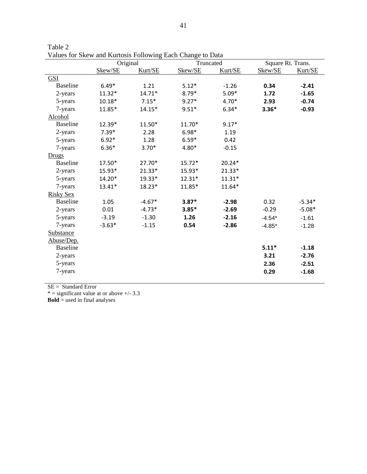|                  | Original |          | and for them and ixeribility of the wing Laten Change to Data<br>Truncated |          | Square Rt. Trans. |          |
|------------------|----------|----------|----------------------------------------------------------------------------|----------|-------------------|----------|
|                  | Skew/SE  | Kurt/SE  | Skew/SE                                                                    | Kurt/SE  | Skew/SE           | Kurt/SE  |
| <b>GSI</b>       |          |          |                                                                            |          |                   |          |
| <b>Baseline</b>  | $6.49*$  | 1.21     | $5.12*$                                                                    | $-1.26$  | 0.34              | $-2.41$  |
| 2-years          | $11.32*$ | $14.71*$ | $8.79*$                                                                    | $5.09*$  | 1.72              | $-1.65$  |
| 5-years          | $10.18*$ | $7.15*$  | $9.27*$                                                                    | $4.70*$  | 2.93              | $-0.74$  |
| 7-years          | 11.85*   | $14.15*$ | $9.51*$                                                                    | $6.34*$  | $3.36*$           | $-0.93$  |
| Alcohol          |          |          |                                                                            |          |                   |          |
| <b>Baseline</b>  | 12.39*   | 11.50*   | 11.70*                                                                     | $9.17*$  |                   |          |
| 2-years          | $7.39*$  | 2.28     | $6.98*$                                                                    | 1.19     |                   |          |
| 5-years          | $6.92*$  | 1.28     | $6.59*$                                                                    | 0.42     |                   |          |
| 7-years          | $6.36*$  | $3.70*$  | 4.80*                                                                      | $-0.15$  |                   |          |
| Drugs            |          |          |                                                                            |          |                   |          |
| <b>Baseline</b>  | 17.50*   | 27.70*   | $15.72*$                                                                   | $20.24*$ |                   |          |
| 2-years          | 15.93*   | $21.33*$ | 15.93*                                                                     | 21.33*   |                   |          |
| 5-years          | 14.20*   | 19.33*   | $12.31*$                                                                   | $11.31*$ |                   |          |
| 7-years          | $13.41*$ | 18.23*   | 11.85*                                                                     | 11.64*   |                   |          |
| <b>Risky Sex</b> |          |          |                                                                            |          |                   |          |
| <b>Baseline</b>  | 1.05     | $-4.67*$ | $3.87*$                                                                    | $-2.98$  | 0.32              | $-5.34*$ |
| 2-years          | 0.01     | $-4.73*$ | $3.85*$                                                                    | $-2.69$  | $-0.29$           | $-5.08*$ |
| 5-years          | $-3.19$  | $-1.30$  | 1.26                                                                       | $-2.16$  | $-4.54*$          | $-1.61$  |
| 7-years          | $-3.63*$ | $-1.15$  | 0.54                                                                       | $-2.86$  | $-4.85*$          | $-1.28$  |
| Substance        |          |          |                                                                            |          |                   |          |
| Abuse/Dep.       |          |          |                                                                            |          |                   |          |
| <b>Baseline</b>  |          |          |                                                                            |          | $5.11*$           | $-1.18$  |
| 2-years          |          |          |                                                                            |          | 3.21              | $-2.76$  |
| 5-years          |          |          |                                                                            |          | 2.36              | $-2.51$  |
| 7-years          |          |          |                                                                            |          | 0.29              | $-1.68$  |
|                  |          |          |                                                                            |          |                   |          |

Table 2 Values for Skew and Kurtosis Following Each Change to Data

SE = Standard Error

 $* =$  significant value at or above  $+/- 3.3$ 

**Bold** = used in final analyses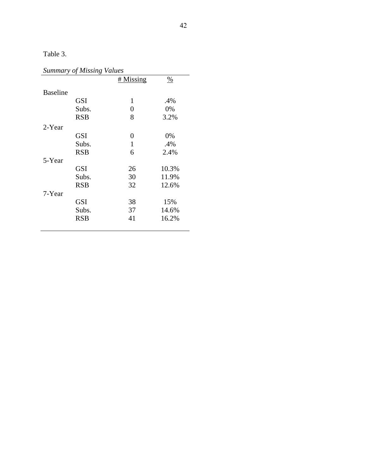Table 3.

# *Summary of Missing Values*

|                 |            | # Missing    | $\frac{0}{0}$ |
|-----------------|------------|--------------|---------------|
| <b>Baseline</b> |            |              |               |
|                 | <b>GSI</b> | $\mathbf{1}$ | .4%           |
|                 | Subs.      | 0            | 0%            |
|                 | <b>RSB</b> | 8            | 3.2%          |
| 2-Year          |            |              |               |
|                 | <b>GSI</b> | 0            | 0%            |
|                 | Subs.      | $\mathbf{1}$ | .4%           |
|                 | <b>RSB</b> | 6            | 2.4%          |
| 5-Year          |            |              |               |
|                 | <b>GSI</b> | 26           | 10.3%         |
|                 | Subs.      | 30           | 11.9%         |
|                 | <b>RSB</b> | 32           | 12.6%         |
| 7-Year          |            |              |               |
|                 | <b>GSI</b> | 38           | 15%           |
|                 | Subs.      | 37           | 14.6%         |
|                 | <b>RSB</b> | 41           | 16.2%         |
|                 |            |              |               |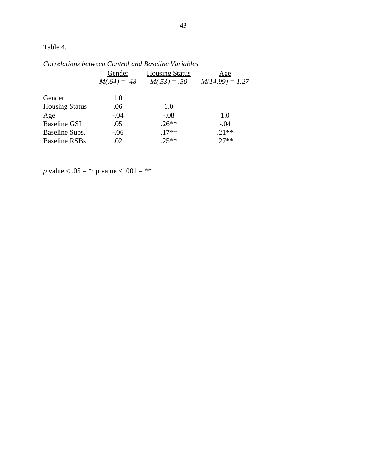Table 4.

|                       |                | Corretations between Control and Baseline Variables |                   |
|-----------------------|----------------|-----------------------------------------------------|-------------------|
|                       | Gender         | <b>Housing Status</b>                               | <u>Age</u>        |
|                       | $M(.64) = .48$ | $M(.53) = .50$                                      | $M(14.99) = 1.27$ |
|                       |                |                                                     |                   |
| Gender                | 1.0            |                                                     |                   |
| <b>Housing Status</b> | .06            | 1.0                                                 |                   |
| Age                   | $-.04$         | $-.08$                                              | 1.0               |
| <b>Baseline GSI</b>   | .05            | $.26**$                                             | $-.04$            |
| Baseline Subs.        | $-.06$         | $.17**$                                             | $.21**$           |
| <b>Baseline RSBs</b>  | .02            | $.25**$                                             | $.27**$           |
|                       |                |                                                     |                   |

*Correlations between Control and Baseline Variables*

*p* value < .05 = \*; p value < .001 = \*\*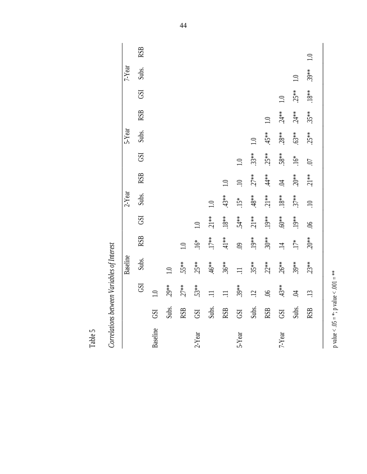|           |            |                  | Baseline |                  |             | 2-Year           |                 |                 | 5-Year           |                  |                          | 7-Year           |                  |
|-----------|------------|------------------|----------|------------------|-------------|------------------|-----------------|-----------------|------------------|------------------|--------------------------|------------------|------------------|
|           |            | GSI              | Subs.    | <b>RSB</b>       | GSI         | Subs.            | <b>RSB</b>      | <b>GSI</b>      | Subs.            | <b>RSB</b>       | <b>GSI</b>               | Subs.            | <b>RSB</b>       |
| Baseline  | <b>GSI</b> | $\supseteq$      |          |                  |             |                  |                 |                 |                  |                  |                          |                  |                  |
|           | Subs.      | $29**$           | 1.0      |                  |             |                  |                 |                 |                  |                  |                          |                  |                  |
|           | <b>RSB</b> | $27**$           | 55**     | $\overline{1.0}$ |             |                  |                 |                 |                  |                  |                          |                  |                  |
| $2$ -Year | GSI        | 53**             | $25**$   | $16*$            | $\supseteq$ |                  |                 |                 |                  |                  |                          |                  |                  |
|           | Subs.      | $\equiv$         | $46**$   | $17**$           | $21**$      | $\overline{1.0}$ |                 |                 |                  |                  |                          |                  |                  |
|           | <b>RSB</b> | $\equiv$         | $36**$   | $41*$            | $18**$      | $43**$           | 1.0             |                 |                  |                  |                          |                  |                  |
| 5-Year    | GSI        | $39**$           | $\equiv$ | $\ddot{\odot}$   | 54**        | $15*$            | $\overline{10}$ | $\overline{10}$ |                  |                  |                          |                  |                  |
|           | Subs.      | $\ddot{5}$       | $.35**$  | $19**$           | $.21**$     | $48**$           | $.27**$         | $33**$          | $\overline{1}$ . |                  |                          |                  |                  |
|           | <b>RSB</b> | $\mathfrak{H}$ . | $.22**$  | $30**$           | .19**       | $21**$           | $44*$           | $25**$          | $45**$           | $\overline{1.0}$ |                          |                  |                  |
| 7-Year    | GSI        | $43**$           | $26**$   | $\overline{14}$  | $60**$      | $18**$           | $\ddot{p}$      | 58**            | $28**$           | $24**$           | $\overline{\phantom{0}}$ |                  |                  |
|           | Subs.      | <b>Z</b>         | $.39***$ | $.17*$           | $19**$      | $37**$           | $20^{**}$       | $.16*$          | $63**$           | $24**$           | $25**$                   | $\overline{1.0}$ |                  |
|           | <b>RSB</b> | $\ddot{13}$      | $23**$   | $20^{**}$        | 9Ò.         | $\overline{10}$  | $21**$          | $\ddot{\omega}$ | $25**$           | $35**$           | $18**$                   | $39**$           | $\overline{1.0}$ |
|           |            |                  |          |                  |             |                  |                 |                 |                  |                  |                          |                  |                  |

p value  $< .05 = *, p$  value  $< .001 = **$ 

p value < .05 = \*; p value < .001 = \*\*

Correlations between Variables of Interest *Correlations between Variables of Interest*

Table 5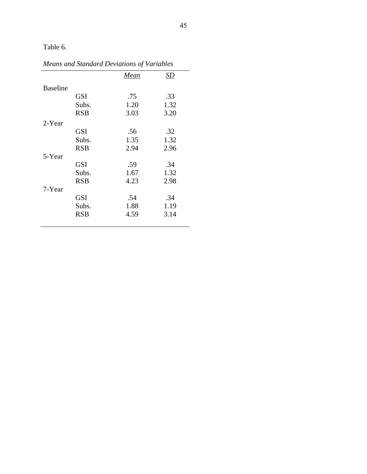Table 6.

|                 |            | Mean | SD   |
|-----------------|------------|------|------|
| <b>Baseline</b> |            |      |      |
|                 | GSI        | .75  | .33  |
|                 | Subs.      | 1.20 | 1.32 |
|                 | <b>RSB</b> | 3.03 | 3.20 |
| 2-Year          |            |      |      |
|                 | <b>GSI</b> | .56  | .32  |
|                 | Subs.      | 1.35 | 1.32 |
|                 | <b>RSB</b> | 2.94 | 2.96 |
| 5-Year          |            |      |      |
|                 | <b>GSI</b> | .59  | .34  |
|                 | Subs.      | 1.67 | 1.32 |
|                 | <b>RSB</b> | 4.23 | 2.98 |
| 7-Year          |            |      |      |
|                 | <b>GSI</b> | .54  | .34  |
|                 | Subs.      | 1.88 | 1.19 |
|                 | <b>RSB</b> | 4.59 | 3.14 |
|                 |            |      |      |

*Means and Standard Deviations of Variables*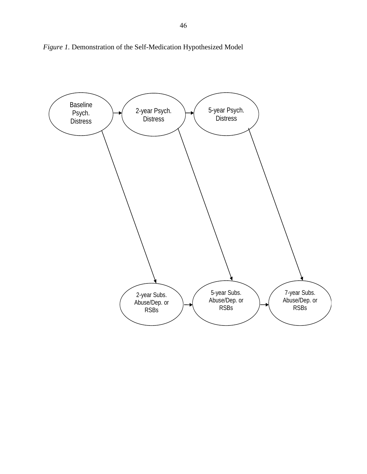

*Figure 1.* Demonstration of the Self-Medication Hypothesized Model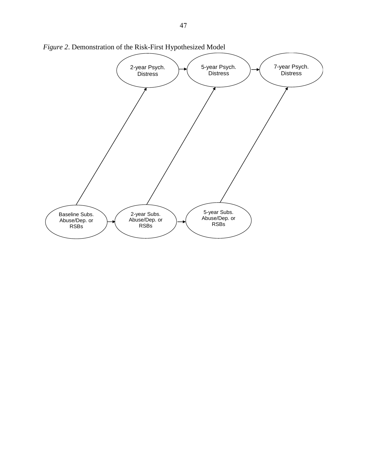

*Figure 2*. Demonstration of the Risk-First Hypothesized Model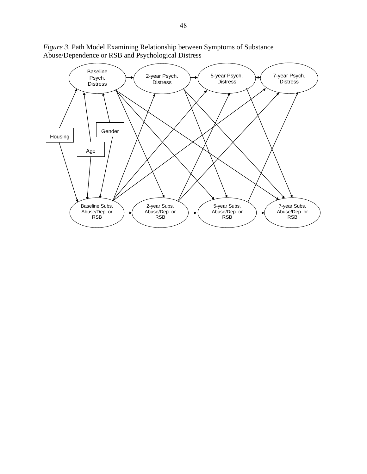

*Figure 3.* Path Model Examining Relationship between Symptoms of Substance Abuse/Dependence or RSB and Psychological Distress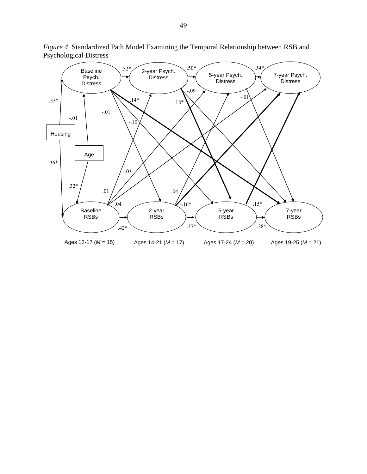

*Figure 4.* Standardized Path Model Examining the Temporal Relationship between RSB and Psychological Distress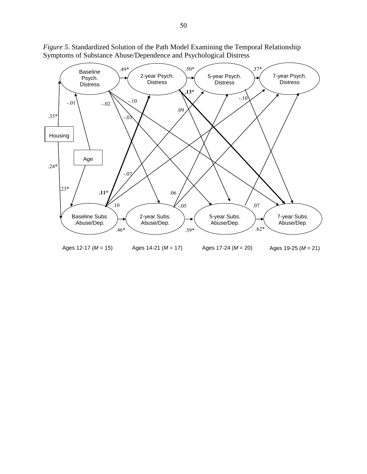

*Figure 5*. Standardized Solution of the Path Model Examining the Temporal Relationship Symptoms of Substance Abuse/Dependence and Psychological Distress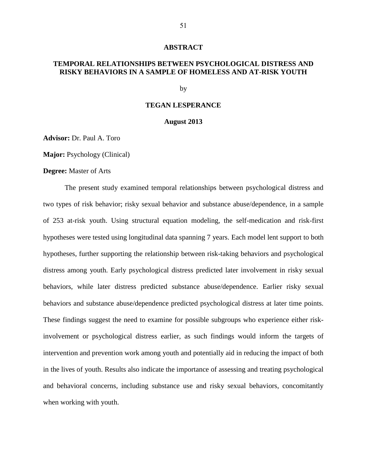#### **ABSTRACT**

# **TEMPORAL RELATIONSHIPS BETWEEN PSYCHOLOGICAL DISTRESS AND RISKY BEHAVIORS IN A SAMPLE OF HOMELESS AND AT-RISK YOUTH**

by

# **TEGAN LESPERANCE**

## **August 2013**

**Advisor:** Dr. Paul A. Toro

**Major:** Psychology (Clinical)

## **Degree:** Master of Arts

The present study examined temporal relationships between psychological distress and two types of risk behavior; risky sexual behavior and substance abuse/dependence, in a sample of 253 at-risk youth. Using structural equation modeling, the self-medication and risk-first hypotheses were tested using longitudinal data spanning 7 years. Each model lent support to both hypotheses, further supporting the relationship between risk-taking behaviors and psychological distress among youth. Early psychological distress predicted later involvement in risky sexual behaviors, while later distress predicted substance abuse/dependence. Earlier risky sexual behaviors and substance abuse/dependence predicted psychological distress at later time points. These findings suggest the need to examine for possible subgroups who experience either riskinvolvement or psychological distress earlier, as such findings would inform the targets of intervention and prevention work among youth and potentially aid in reducing the impact of both in the lives of youth. Results also indicate the importance of assessing and treating psychological and behavioral concerns, including substance use and risky sexual behaviors, concomitantly when working with youth.